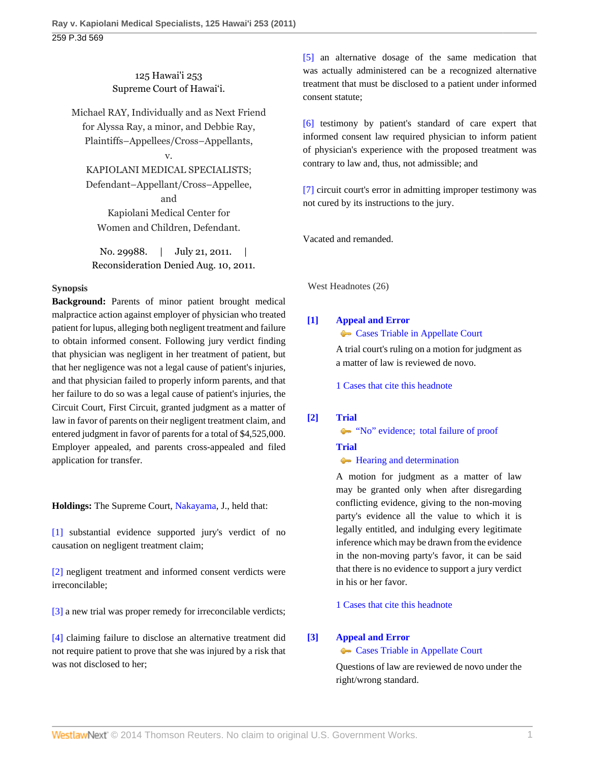125 Hawai'i 253 Supreme Court of Hawai'i.

Michael RAY, Individually and as Next Friend for Alyssa Ray, a minor, and Debbie Ray, Plaintiffs–Appellees/Cross–Appellants,

v.

KAPIOLANI MEDICAL SPECIALISTS; Defendant–Appellant/Cross–Appellee, and Kapiolani Medical Center for Women and Children, Defendant.

No. 29988. | July 21, 2011. | Reconsideration Denied Aug. 10, 2011.

## **Synopsis**

**Background:** Parents of minor patient brought medical malpractice action against employer of physician who treated patient for lupus, alleging both negligent treatment and failure to obtain informed consent. Following jury verdict finding that physician was negligent in her treatment of patient, but that her negligence was not a legal cause of patient's injuries, and that physician failed to properly inform parents, and that her failure to do so was a legal cause of patient's injuries, the Circuit Court, First Circuit, granted judgment as a matter of law in favor of parents on their negligent treatment claim, and entered judgment in favor of parents for a total of \$4,525,000. Employer appealed, and parents cross-appealed and filed application for transfer.

**Holdings:** The Supreme Court, [Nakayama,](http://www.westlaw.com/Link/Document/FullText?findType=h&pubNum=176284&cite=0108333901&originatingDoc=I50d2a3f3b47511e093b4f77be4dcecfa&refType=RQ&originationContext=document&vr=3.0&rs=cblt1.0&transitionType=DocumentItem&contextData=(sc.Default)) J., held that:

[\[1\]](#page-1-0) substantial evidence supported jury's verdict of no causation on negligent treatment claim;

[\[2\]](#page-1-1) negligent treatment and informed consent verdicts were irreconcilable;

[\[3\]](#page-2-0) a new trial was proper remedy for irreconcilable verdicts;

[\[4\]](#page-2-1) claiming failure to disclose an alternative treatment did not require patient to prove that she was injured by a risk that was not disclosed to her;

[\[5\]](#page-3-0) an alternative dosage of the same medication that was actually administered can be a recognized alternative treatment that must be disclosed to a patient under informed consent statute;

[\[6\]](#page-3-1) testimony by patient's standard of care expert that informed consent law required physician to inform patient of physician's experience with the proposed treatment was contrary to law and, thus, not admissible; and

[\[7\]](#page-3-2) circuit court's error in admitting improper testimony was not cured by its instructions to the jury.

Vacated and remanded.

West Headnotes (26)

# <span id="page-0-0"></span>**[\[1\]](#page-8-0) [Appeal and Error](http://www.westlaw.com/Browse/Home/KeyNumber/30/View.html?docGuid=I50d2a3f3b47511e093b4f77be4dcecfa&originationContext=document&vr=3.0&rs=cblt1.0&transitionType=DocumentItem&contextData=(sc.Default))**

**[Cases Triable in Appellate Court](http://www.westlaw.com/Browse/Home/KeyNumber/30k893/View.html?docGuid=I50d2a3f3b47511e093b4f77be4dcecfa&originationContext=document&vr=3.0&rs=cblt1.0&transitionType=DocumentItem&contextData=(sc.Default))** 

A trial court's ruling on a motion for judgment as a matter of law is reviewed de novo.

[1 Cases that cite this headnote](http://www.westlaw.com/Link/RelatedInformation/DocHeadnoteLink?docGuid=I50d2a3f3b47511e093b4f77be4dcecfa&headnoteId=202575946600120130206225351&originationContext=document&vr=3.0&rs=cblt1.0&transitionType=CitingReferences&contextData=(sc.Default))

# <span id="page-0-1"></span>**[\[2\]](#page-8-1) [Trial](http://www.westlaw.com/Browse/Home/KeyNumber/388/View.html?docGuid=I50d2a3f3b47511e093b4f77be4dcecfa&originationContext=document&vr=3.0&rs=cblt1.0&transitionType=DocumentItem&contextData=(sc.Default))**

• ["No" evidence; total failure of proof](http://www.westlaw.com/Browse/Home/KeyNumber/388k139.1(7)/View.html?docGuid=I50d2a3f3b47511e093b4f77be4dcecfa&originationContext=document&vr=3.0&rs=cblt1.0&transitionType=DocumentItem&contextData=(sc.Default))

# **[Trial](http://www.westlaw.com/Browse/Home/KeyNumber/388/View.html?docGuid=I50d2a3f3b47511e093b4f77be4dcecfa&originationContext=document&vr=3.0&rs=cblt1.0&transitionType=DocumentItem&contextData=(sc.Default))**

**[Hearing and determination](http://www.westlaw.com/Browse/Home/KeyNumber/388k178/View.html?docGuid=I50d2a3f3b47511e093b4f77be4dcecfa&originationContext=document&vr=3.0&rs=cblt1.0&transitionType=DocumentItem&contextData=(sc.Default))** 

A motion for judgment as a matter of law may be granted only when after disregarding conflicting evidence, giving to the non-moving party's evidence all the value to which it is legally entitled, and indulging every legitimate inference which may be drawn from the evidence in the non-moving party's favor, it can be said that there is no evidence to support a jury verdict in his or her favor.

[1 Cases that cite this headnote](http://www.westlaw.com/Link/RelatedInformation/DocHeadnoteLink?docGuid=I50d2a3f3b47511e093b4f77be4dcecfa&headnoteId=202575946600220130206225351&originationContext=document&vr=3.0&rs=cblt1.0&transitionType=CitingReferences&contextData=(sc.Default))

# <span id="page-0-2"></span>**[\[3\]](#page-8-2) [Appeal and Error](http://www.westlaw.com/Browse/Home/KeyNumber/30/View.html?docGuid=I50d2a3f3b47511e093b4f77be4dcecfa&originationContext=document&vr=3.0&rs=cblt1.0&transitionType=DocumentItem&contextData=(sc.Default))**

[Cases Triable in Appellate Court](http://www.westlaw.com/Browse/Home/KeyNumber/30k893/View.html?docGuid=I50d2a3f3b47511e093b4f77be4dcecfa&originationContext=document&vr=3.0&rs=cblt1.0&transitionType=DocumentItem&contextData=(sc.Default))

Questions of law are reviewed de novo under the right/wrong standard.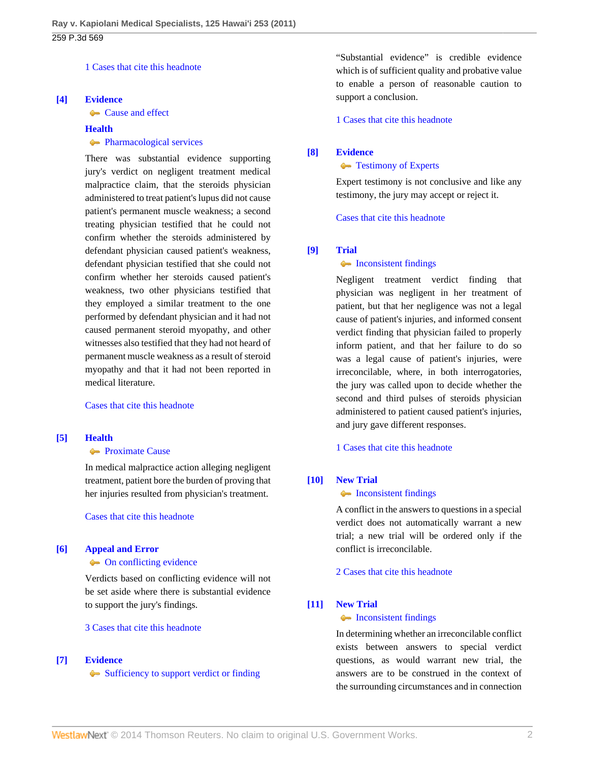[1 Cases that cite this headnote](http://www.westlaw.com/Link/RelatedInformation/DocHeadnoteLink?docGuid=I50d2a3f3b47511e093b4f77be4dcecfa&headnoteId=202575946600320130206225351&originationContext=document&vr=3.0&rs=cblt1.0&transitionType=CitingReferences&contextData=(sc.Default))

### <span id="page-1-0"></span>**[\[4\]](#page-9-0) [Evidence](http://www.westlaw.com/Browse/Home/KeyNumber/157/View.html?docGuid=I50d2a3f3b47511e093b4f77be4dcecfa&originationContext=document&vr=3.0&rs=cblt1.0&transitionType=DocumentItem&contextData=(sc.Default))**

**[Cause and effect](http://www.westlaw.com/Browse/Home/KeyNumber/157k571(9)/View.html?docGuid=I50d2a3f3b47511e093b4f77be4dcecfa&originationContext=document&vr=3.0&rs=cblt1.0&transitionType=DocumentItem&contextData=(sc.Default))** 

## **[Health](http://www.westlaw.com/Browse/Home/KeyNumber/198H/View.html?docGuid=I50d2a3f3b47511e093b4f77be4dcecfa&originationContext=document&vr=3.0&rs=cblt1.0&transitionType=DocumentItem&contextData=(sc.Default))**

### **[Pharmacological services](http://www.westlaw.com/Browse/Home/KeyNumber/198Hk823(13)/View.html?docGuid=I50d2a3f3b47511e093b4f77be4dcecfa&originationContext=document&vr=3.0&rs=cblt1.0&transitionType=DocumentItem&contextData=(sc.Default))**

There was substantial evidence supporting jury's verdict on negligent treatment medical malpractice claim, that the steroids physician administered to treat patient's lupus did not cause patient's permanent muscle weakness; a second treating physician testified that he could not confirm whether the steroids administered by defendant physician caused patient's weakness, defendant physician testified that she could not confirm whether her steroids caused patient's weakness, two other physicians testified that they employed a similar treatment to the one performed by defendant physician and it had not caused permanent steroid myopathy, and other witnesses also testified that they had not heard of permanent muscle weakness as a result of steroid myopathy and that it had not been reported in medical literature.

#### [Cases that cite this headnote](http://www.westlaw.com/Link/RelatedInformation/DocHeadnoteLink?docGuid=I50d2a3f3b47511e093b4f77be4dcecfa&headnoteId=202575946600420130206225351&originationContext=document&vr=3.0&rs=cblt1.0&transitionType=CitingReferences&contextData=(sc.Default))

## <span id="page-1-2"></span>**[\[5\]](#page-9-1) [Health](http://www.westlaw.com/Browse/Home/KeyNumber/198H/View.html?docGuid=I50d2a3f3b47511e093b4f77be4dcecfa&originationContext=document&vr=3.0&rs=cblt1.0&transitionType=DocumentItem&contextData=(sc.Default))**

### **[Proximate Cause](http://www.westlaw.com/Browse/Home/KeyNumber/198Hk630/View.html?docGuid=I50d2a3f3b47511e093b4f77be4dcecfa&originationContext=document&vr=3.0&rs=cblt1.0&transitionType=DocumentItem&contextData=(sc.Default))**

In medical malpractice action alleging negligent treatment, patient bore the burden of proving that her injuries resulted from physician's treatment.

[Cases that cite this headnote](http://www.westlaw.com/Link/RelatedInformation/DocHeadnoteLink?docGuid=I50d2a3f3b47511e093b4f77be4dcecfa&headnoteId=202575946600520130206225351&originationContext=document&vr=3.0&rs=cblt1.0&transitionType=CitingReferences&contextData=(sc.Default))

#### <span id="page-1-3"></span>**[\[6\]](#page-9-2) [Appeal and Error](http://www.westlaw.com/Browse/Home/KeyNumber/30/View.html?docGuid=I50d2a3f3b47511e093b4f77be4dcecfa&originationContext=document&vr=3.0&rs=cblt1.0&transitionType=DocumentItem&contextData=(sc.Default))**

#### • [On conflicting evidence](http://www.westlaw.com/Browse/Home/KeyNumber/30k1002/View.html?docGuid=I50d2a3f3b47511e093b4f77be4dcecfa&originationContext=document&vr=3.0&rs=cblt1.0&transitionType=DocumentItem&contextData=(sc.Default))

Verdicts based on conflicting evidence will not be set aside where there is substantial evidence to support the jury's findings.

### [3 Cases that cite this headnote](http://www.westlaw.com/Link/RelatedInformation/DocHeadnoteLink?docGuid=I50d2a3f3b47511e093b4f77be4dcecfa&headnoteId=202575946600620130206225351&originationContext=document&vr=3.0&rs=cblt1.0&transitionType=CitingReferences&contextData=(sc.Default))

### <span id="page-1-4"></span>**[\[7\]](#page-9-3) [Evidence](http://www.westlaw.com/Browse/Home/KeyNumber/157/View.html?docGuid=I50d2a3f3b47511e093b4f77be4dcecfa&originationContext=document&vr=3.0&rs=cblt1.0&transitionType=DocumentItem&contextData=(sc.Default))**

[Sufficiency to support verdict or finding](http://www.westlaw.com/Browse/Home/KeyNumber/157k597/View.html?docGuid=I50d2a3f3b47511e093b4f77be4dcecfa&originationContext=document&vr=3.0&rs=cblt1.0&transitionType=DocumentItem&contextData=(sc.Default))

"Substantial evidence" is credible evidence which is of sufficient quality and probative value to enable a person of reasonable caution to support a conclusion.

[1 Cases that cite this headnote](http://www.westlaw.com/Link/RelatedInformation/DocHeadnoteLink?docGuid=I50d2a3f3b47511e093b4f77be4dcecfa&headnoteId=202575946600720130206225351&originationContext=document&vr=3.0&rs=cblt1.0&transitionType=CitingReferences&contextData=(sc.Default))

### <span id="page-1-5"></span>**[\[8\]](#page-10-0) [Evidence](http://www.westlaw.com/Browse/Home/KeyNumber/157/View.html?docGuid=I50d2a3f3b47511e093b4f77be4dcecfa&originationContext=document&vr=3.0&rs=cblt1.0&transitionType=DocumentItem&contextData=(sc.Default))**

#### **[Testimony of Experts](http://www.westlaw.com/Browse/Home/KeyNumber/157k569/View.html?docGuid=I50d2a3f3b47511e093b4f77be4dcecfa&originationContext=document&vr=3.0&rs=cblt1.0&transitionType=DocumentItem&contextData=(sc.Default))**

Expert testimony is not conclusive and like any testimony, the jury may accept or reject it.

[Cases that cite this headnote](http://www.westlaw.com/Link/RelatedInformation/DocHeadnoteLink?docGuid=I50d2a3f3b47511e093b4f77be4dcecfa&headnoteId=202575946600820130206225351&originationContext=document&vr=3.0&rs=cblt1.0&transitionType=CitingReferences&contextData=(sc.Default))

#### <span id="page-1-1"></span>**[\[9\]](#page-10-1) [Trial](http://www.westlaw.com/Browse/Home/KeyNumber/388/View.html?docGuid=I50d2a3f3b47511e093b4f77be4dcecfa&originationContext=document&vr=3.0&rs=cblt1.0&transitionType=DocumentItem&contextData=(sc.Default))**

### • [Inconsistent findings](http://www.westlaw.com/Browse/Home/KeyNumber/388k358/View.html?docGuid=I50d2a3f3b47511e093b4f77be4dcecfa&originationContext=document&vr=3.0&rs=cblt1.0&transitionType=DocumentItem&contextData=(sc.Default))

Negligent treatment verdict finding that physician was negligent in her treatment of patient, but that her negligence was not a legal cause of patient's injuries, and informed consent verdict finding that physician failed to properly inform patient, and that her failure to do so was a legal cause of patient's injuries, were irreconcilable, where, in both interrogatories, the jury was called upon to decide whether the second and third pulses of steroids physician administered to patient caused patient's injuries, and jury gave different responses.

[1 Cases that cite this headnote](http://www.westlaw.com/Link/RelatedInformation/DocHeadnoteLink?docGuid=I50d2a3f3b47511e093b4f77be4dcecfa&headnoteId=202575946600920130206225351&originationContext=document&vr=3.0&rs=cblt1.0&transitionType=CitingReferences&contextData=(sc.Default))

#### <span id="page-1-6"></span>**[\[10\]](#page-10-2) [New Trial](http://www.westlaw.com/Browse/Home/KeyNumber/275/View.html?docGuid=I50d2a3f3b47511e093b4f77be4dcecfa&originationContext=document&vr=3.0&rs=cblt1.0&transitionType=DocumentItem&contextData=(sc.Default))**

### • [Inconsistent findings](http://www.westlaw.com/Browse/Home/KeyNumber/275k60/View.html?docGuid=I50d2a3f3b47511e093b4f77be4dcecfa&originationContext=document&vr=3.0&rs=cblt1.0&transitionType=DocumentItem&contextData=(sc.Default))

A conflict in the answers to questions in a special verdict does not automatically warrant a new trial; a new trial will be ordered only if the conflict is irreconcilable.

[2 Cases that cite this headnote](http://www.westlaw.com/Link/RelatedInformation/DocHeadnoteLink?docGuid=I50d2a3f3b47511e093b4f77be4dcecfa&headnoteId=202575946601020130206225351&originationContext=document&vr=3.0&rs=cblt1.0&transitionType=CitingReferences&contextData=(sc.Default))

#### <span id="page-1-7"></span>**[\[11\]](#page-10-3) [New Trial](http://www.westlaw.com/Browse/Home/KeyNumber/275/View.html?docGuid=I50d2a3f3b47511e093b4f77be4dcecfa&originationContext=document&vr=3.0&rs=cblt1.0&transitionType=DocumentItem&contextData=(sc.Default))**

### • [Inconsistent findings](http://www.westlaw.com/Browse/Home/KeyNumber/275k60/View.html?docGuid=I50d2a3f3b47511e093b4f77be4dcecfa&originationContext=document&vr=3.0&rs=cblt1.0&transitionType=DocumentItem&contextData=(sc.Default))

In determining whether an irreconcilable conflict exists between answers to special verdict questions, as would warrant new trial, the answers are to be construed in the context of the surrounding circumstances and in connection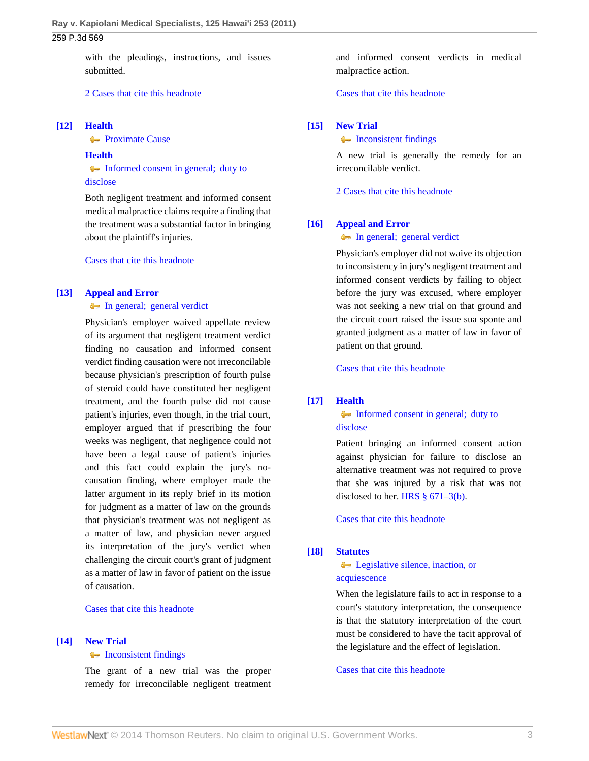## 259 P.3d 569

with the pleadings, instructions, and issues submitted.

### [2 Cases that cite this headnote](http://www.westlaw.com/Link/RelatedInformation/DocHeadnoteLink?docGuid=I50d2a3f3b47511e093b4f77be4dcecfa&headnoteId=202575946601120130206225351&originationContext=document&vr=3.0&rs=cblt1.0&transitionType=CitingReferences&contextData=(sc.Default))

### <span id="page-2-2"></span>**[\[12\]](#page-10-4) [Health](http://www.westlaw.com/Browse/Home/KeyNumber/198H/View.html?docGuid=I50d2a3f3b47511e093b4f77be4dcecfa&originationContext=document&vr=3.0&rs=cblt1.0&transitionType=DocumentItem&contextData=(sc.Default))**

**[Proximate Cause](http://www.westlaw.com/Browse/Home/KeyNumber/198Hk630/View.html?docGuid=I50d2a3f3b47511e093b4f77be4dcecfa&originationContext=document&vr=3.0&rs=cblt1.0&transitionType=DocumentItem&contextData=(sc.Default))** 

#### **[Health](http://www.westlaw.com/Browse/Home/KeyNumber/198H/View.html?docGuid=I50d2a3f3b47511e093b4f77be4dcecfa&originationContext=document&vr=3.0&rs=cblt1.0&transitionType=DocumentItem&contextData=(sc.Default))**

[Informed consent in general; duty to](http://www.westlaw.com/Browse/Home/KeyNumber/198Hk906/View.html?docGuid=I50d2a3f3b47511e093b4f77be4dcecfa&originationContext=document&vr=3.0&rs=cblt1.0&transitionType=DocumentItem&contextData=(sc.Default)) [disclose](http://www.westlaw.com/Browse/Home/KeyNumber/198Hk906/View.html?docGuid=I50d2a3f3b47511e093b4f77be4dcecfa&originationContext=document&vr=3.0&rs=cblt1.0&transitionType=DocumentItem&contextData=(sc.Default))

Both negligent treatment and informed consent medical malpractice claims require a finding that the treatment was a substantial factor in bringing about the plaintiff's injuries.

[Cases that cite this headnote](http://www.westlaw.com/Link/RelatedInformation/DocHeadnoteLink?docGuid=I50d2a3f3b47511e093b4f77be4dcecfa&headnoteId=202575946601220130206225351&originationContext=document&vr=3.0&rs=cblt1.0&transitionType=CitingReferences&contextData=(sc.Default))

## <span id="page-2-3"></span>**[\[13\]](#page-10-5) [Appeal and Error](http://www.westlaw.com/Browse/Home/KeyNumber/30/View.html?docGuid=I50d2a3f3b47511e093b4f77be4dcecfa&originationContext=document&vr=3.0&rs=cblt1.0&transitionType=DocumentItem&contextData=(sc.Default))**

#### [In general; general verdict](http://www.westlaw.com/Browse/Home/KeyNumber/30k218.1/View.html?docGuid=I50d2a3f3b47511e093b4f77be4dcecfa&originationContext=document&vr=3.0&rs=cblt1.0&transitionType=DocumentItem&contextData=(sc.Default))

Physician's employer waived appellate review of its argument that negligent treatment verdict finding no causation and informed consent verdict finding causation were not irreconcilable because physician's prescription of fourth pulse of steroid could have constituted her negligent treatment, and the fourth pulse did not cause patient's injuries, even though, in the trial court, employer argued that if prescribing the four weeks was negligent, that negligence could not have been a legal cause of patient's injuries and this fact could explain the jury's nocausation finding, where employer made the latter argument in its reply brief in its motion for judgment as a matter of law on the grounds that physician's treatment was not negligent as a matter of law, and physician never argued its interpretation of the jury's verdict when challenging the circuit court's grant of judgment as a matter of law in favor of patient on the issue of causation.

## [Cases that cite this headnote](http://www.westlaw.com/Link/RelatedInformation/DocHeadnoteLink?docGuid=I50d2a3f3b47511e093b4f77be4dcecfa&headnoteId=202575946601320130206225351&originationContext=document&vr=3.0&rs=cblt1.0&transitionType=CitingReferences&contextData=(sc.Default))

#### <span id="page-2-0"></span>**[\[14\]](#page-11-0) [New Trial](http://www.westlaw.com/Browse/Home/KeyNumber/275/View.html?docGuid=I50d2a3f3b47511e093b4f77be4dcecfa&originationContext=document&vr=3.0&rs=cblt1.0&transitionType=DocumentItem&contextData=(sc.Default))**

#### • [Inconsistent findings](http://www.westlaw.com/Browse/Home/KeyNumber/275k60/View.html?docGuid=I50d2a3f3b47511e093b4f77be4dcecfa&originationContext=document&vr=3.0&rs=cblt1.0&transitionType=DocumentItem&contextData=(sc.Default))

The grant of a new trial was the proper remedy for irreconcilable negligent treatment and informed consent verdicts in medical malpractice action.

#### [Cases that cite this headnote](http://www.westlaw.com/Link/RelatedInformation/DocHeadnoteLink?docGuid=I50d2a3f3b47511e093b4f77be4dcecfa&headnoteId=202575946601420130206225351&originationContext=document&vr=3.0&rs=cblt1.0&transitionType=CitingReferences&contextData=(sc.Default))

### <span id="page-2-4"></span>**[\[15\]](#page-11-1) [New Trial](http://www.westlaw.com/Browse/Home/KeyNumber/275/View.html?docGuid=I50d2a3f3b47511e093b4f77be4dcecfa&originationContext=document&vr=3.0&rs=cblt1.0&transitionType=DocumentItem&contextData=(sc.Default))**

• [Inconsistent findings](http://www.westlaw.com/Browse/Home/KeyNumber/275k60/View.html?docGuid=I50d2a3f3b47511e093b4f77be4dcecfa&originationContext=document&vr=3.0&rs=cblt1.0&transitionType=DocumentItem&contextData=(sc.Default))

A new trial is generally the remedy for an irreconcilable verdict.

[2 Cases that cite this headnote](http://www.westlaw.com/Link/RelatedInformation/DocHeadnoteLink?docGuid=I50d2a3f3b47511e093b4f77be4dcecfa&headnoteId=202575946601520130206225351&originationContext=document&vr=3.0&rs=cblt1.0&transitionType=CitingReferences&contextData=(sc.Default))

#### <span id="page-2-5"></span>**[\[16\]](#page-11-2) [Appeal and Error](http://www.westlaw.com/Browse/Home/KeyNumber/30/View.html?docGuid=I50d2a3f3b47511e093b4f77be4dcecfa&originationContext=document&vr=3.0&rs=cblt1.0&transitionType=DocumentItem&contextData=(sc.Default))**

### **[In general; general verdict](http://www.westlaw.com/Browse/Home/KeyNumber/30k218.1/View.html?docGuid=I50d2a3f3b47511e093b4f77be4dcecfa&originationContext=document&vr=3.0&rs=cblt1.0&transitionType=DocumentItem&contextData=(sc.Default))**

Physician's employer did not waive its objection to inconsistency in jury's negligent treatment and informed consent verdicts by failing to object before the jury was excused, where employer was not seeking a new trial on that ground and the circuit court raised the issue sua sponte and granted judgment as a matter of law in favor of patient on that ground.

[Cases that cite this headnote](http://www.westlaw.com/Link/RelatedInformation/DocHeadnoteLink?docGuid=I50d2a3f3b47511e093b4f77be4dcecfa&headnoteId=202575946601620130206225351&originationContext=document&vr=3.0&rs=cblt1.0&transitionType=CitingReferences&contextData=(sc.Default))

### <span id="page-2-1"></span>**[\[17\]](#page-11-3) [Health](http://www.westlaw.com/Browse/Home/KeyNumber/198H/View.html?docGuid=I50d2a3f3b47511e093b4f77be4dcecfa&originationContext=document&vr=3.0&rs=cblt1.0&transitionType=DocumentItem&contextData=(sc.Default))**

## [Informed consent in general; duty to](http://www.westlaw.com/Browse/Home/KeyNumber/198Hk906/View.html?docGuid=I50d2a3f3b47511e093b4f77be4dcecfa&originationContext=document&vr=3.0&rs=cblt1.0&transitionType=DocumentItem&contextData=(sc.Default)) [disclose](http://www.westlaw.com/Browse/Home/KeyNumber/198Hk906/View.html?docGuid=I50d2a3f3b47511e093b4f77be4dcecfa&originationContext=document&vr=3.0&rs=cblt1.0&transitionType=DocumentItem&contextData=(sc.Default))

Patient bringing an informed consent action against physician for failure to disclose an alternative treatment was not required to prove that she was injured by a risk that was not disclosed to her. [HRS § 671–3\(b\)](http://www.westlaw.com/Link/Document/FullText?findType=L&pubNum=1000522&cite=HISTS671-3&originatingDoc=I50d2a3f3b47511e093b4f77be4dcecfa&refType=SP&originationContext=document&vr=3.0&rs=cblt1.0&transitionType=DocumentItem&contextData=(sc.Default)#co_pp_a83b000018c76).

[Cases that cite this headnote](http://www.westlaw.com/Link/RelatedInformation/DocHeadnoteLink?docGuid=I50d2a3f3b47511e093b4f77be4dcecfa&headnoteId=202575946601720130206225351&originationContext=document&vr=3.0&rs=cblt1.0&transitionType=CitingReferences&contextData=(sc.Default))

### <span id="page-2-6"></span>**[\[18\]](#page-13-0) [Statutes](http://www.westlaw.com/Browse/Home/KeyNumber/361/View.html?docGuid=I50d2a3f3b47511e093b4f77be4dcecfa&originationContext=document&vr=3.0&rs=cblt1.0&transitionType=DocumentItem&contextData=(sc.Default))**

**[Legislative silence, inaction, or](http://www.westlaw.com/Browse/Home/KeyNumber/361k1267/View.html?docGuid=I50d2a3f3b47511e093b4f77be4dcecfa&originationContext=document&vr=3.0&rs=cblt1.0&transitionType=DocumentItem&contextData=(sc.Default))** [acquiescence](http://www.westlaw.com/Browse/Home/KeyNumber/361k1267/View.html?docGuid=I50d2a3f3b47511e093b4f77be4dcecfa&originationContext=document&vr=3.0&rs=cblt1.0&transitionType=DocumentItem&contextData=(sc.Default))

When the legislature fails to act in response to a court's statutory interpretation, the consequence is that the statutory interpretation of the court must be considered to have the tacit approval of the legislature and the effect of legislation.

#### [Cases that cite this headnote](http://www.westlaw.com/Link/RelatedInformation/DocHeadnoteLink?docGuid=I50d2a3f3b47511e093b4f77be4dcecfa&headnoteId=202575946601820130206225351&originationContext=document&vr=3.0&rs=cblt1.0&transitionType=CitingReferences&contextData=(sc.Default))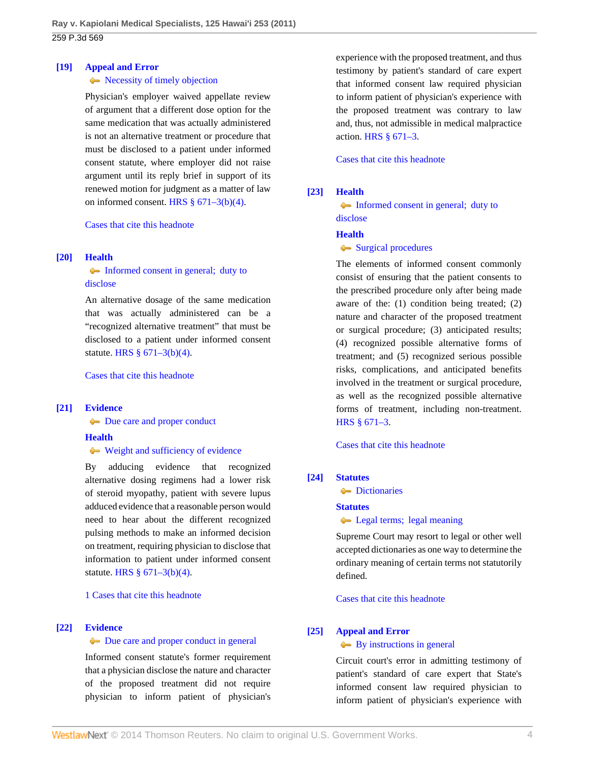### <span id="page-3-3"></span>**[\[19\]](#page-13-1) [Appeal and Error](http://www.westlaw.com/Browse/Home/KeyNumber/30/View.html?docGuid=I50d2a3f3b47511e093b4f77be4dcecfa&originationContext=document&vr=3.0&rs=cblt1.0&transitionType=DocumentItem&contextData=(sc.Default))**

### Recessity of timely objection

Physician's employer waived appellate review of argument that a different dose option for the same medication that was actually administered is not an alternative treatment or procedure that must be disclosed to a patient under informed consent statute, where employer did not raise argument until its reply brief in support of its renewed motion for judgment as a matter of law on informed consent. HRS  $§$  671–3(b)(4).

[Cases that cite this headnote](http://www.westlaw.com/Link/RelatedInformation/DocHeadnoteLink?docGuid=I50d2a3f3b47511e093b4f77be4dcecfa&headnoteId=202575946601920130206225351&originationContext=document&vr=3.0&rs=cblt1.0&transitionType=CitingReferences&contextData=(sc.Default))

### <span id="page-3-0"></span>**[\[20\]](#page-13-2) [Health](http://www.westlaw.com/Browse/Home/KeyNumber/198H/View.html?docGuid=I50d2a3f3b47511e093b4f77be4dcecfa&originationContext=document&vr=3.0&rs=cblt1.0&transitionType=DocumentItem&contextData=(sc.Default))**

## [Informed consent in general; duty to](http://www.westlaw.com/Browse/Home/KeyNumber/198Hk906/View.html?docGuid=I50d2a3f3b47511e093b4f77be4dcecfa&originationContext=document&vr=3.0&rs=cblt1.0&transitionType=DocumentItem&contextData=(sc.Default)) [disclose](http://www.westlaw.com/Browse/Home/KeyNumber/198Hk906/View.html?docGuid=I50d2a3f3b47511e093b4f77be4dcecfa&originationContext=document&vr=3.0&rs=cblt1.0&transitionType=DocumentItem&contextData=(sc.Default))

An alternative dosage of the same medication that was actually administered can be a "recognized alternative treatment" that must be disclosed to a patient under informed consent statute. [HRS § 671–3\(b\)\(4\)](http://www.westlaw.com/Link/Document/FullText?findType=L&pubNum=1000522&cite=HISTS671-3&originatingDoc=I50d2a3f3b47511e093b4f77be4dcecfa&refType=SP&originationContext=document&vr=3.0&rs=cblt1.0&transitionType=DocumentItem&contextData=(sc.Default)#co_pp_6ad60000aeea7).

[Cases that cite this headnote](http://www.westlaw.com/Link/RelatedInformation/DocHeadnoteLink?docGuid=I50d2a3f3b47511e093b4f77be4dcecfa&headnoteId=202575946602020130206225351&originationContext=document&vr=3.0&rs=cblt1.0&transitionType=CitingReferences&contextData=(sc.Default))

## <span id="page-3-4"></span>**[\[21\]](#page-13-3) [Evidence](http://www.westlaw.com/Browse/Home/KeyNumber/157/View.html?docGuid=I50d2a3f3b47511e093b4f77be4dcecfa&originationContext=document&vr=3.0&rs=cblt1.0&transitionType=DocumentItem&contextData=(sc.Default))**

[Due care and proper conduct](http://www.westlaw.com/Browse/Home/KeyNumber/157k571(3)/View.html?docGuid=I50d2a3f3b47511e093b4f77be4dcecfa&originationContext=document&vr=3.0&rs=cblt1.0&transitionType=DocumentItem&contextData=(sc.Default))

### **[Health](http://www.westlaw.com/Browse/Home/KeyNumber/198H/View.html?docGuid=I50d2a3f3b47511e093b4f77be4dcecfa&originationContext=document&vr=3.0&rs=cblt1.0&transitionType=DocumentItem&contextData=(sc.Default))**

### [Weight and sufficiency of evidence](http://www.westlaw.com/Browse/Home/KeyNumber/198Hk926/View.html?docGuid=I50d2a3f3b47511e093b4f77be4dcecfa&originationContext=document&vr=3.0&rs=cblt1.0&transitionType=DocumentItem&contextData=(sc.Default))

By adducing evidence that recognized alternative dosing regimens had a lower risk of steroid myopathy, patient with severe lupus adduced evidence that a reasonable person would need to hear about the different recognized pulsing methods to make an informed decision on treatment, requiring physician to disclose that information to patient under informed consent statute. [HRS § 671–3\(b\)\(4\)](http://www.westlaw.com/Link/Document/FullText?findType=L&pubNum=1000522&cite=HISTS671-3&originatingDoc=I50d2a3f3b47511e093b4f77be4dcecfa&refType=SP&originationContext=document&vr=3.0&rs=cblt1.0&transitionType=DocumentItem&contextData=(sc.Default)#co_pp_6ad60000aeea7).

[1 Cases that cite this headnote](http://www.westlaw.com/Link/RelatedInformation/DocHeadnoteLink?docGuid=I50d2a3f3b47511e093b4f77be4dcecfa&headnoteId=202575946602120130206225351&originationContext=document&vr=3.0&rs=cblt1.0&transitionType=CitingReferences&contextData=(sc.Default))

### <span id="page-3-1"></span>**[\[22\]](#page-14-0) [Evidence](http://www.westlaw.com/Browse/Home/KeyNumber/157/View.html?docGuid=I50d2a3f3b47511e093b4f77be4dcecfa&originationContext=document&vr=3.0&rs=cblt1.0&transitionType=DocumentItem&contextData=(sc.Default))**

### [Due care and proper conduct in general](http://www.westlaw.com/Browse/Home/KeyNumber/157k512/View.html?docGuid=I50d2a3f3b47511e093b4f77be4dcecfa&originationContext=document&vr=3.0&rs=cblt1.0&transitionType=DocumentItem&contextData=(sc.Default))

Informed consent statute's former requirement that a physician disclose the nature and character of the proposed treatment did not require physician to inform patient of physician's experience with the proposed treatment, and thus testimony by patient's standard of care expert that informed consent law required physician to inform patient of physician's experience with the proposed treatment was contrary to law and, thus, not admissible in medical malpractice action. [HRS § 671–3](http://www.westlaw.com/Link/Document/FullText?findType=L&pubNum=1000522&cite=HISTS671-3&originatingDoc=I50d2a3f3b47511e093b4f77be4dcecfa&refType=LQ&originationContext=document&vr=3.0&rs=cblt1.0&transitionType=DocumentItem&contextData=(sc.Default)).

[Cases that cite this headnote](http://www.westlaw.com/Link/RelatedInformation/DocHeadnoteLink?docGuid=I50d2a3f3b47511e093b4f77be4dcecfa&headnoteId=202575946602220130206225351&originationContext=document&vr=3.0&rs=cblt1.0&transitionType=CitingReferences&contextData=(sc.Default))

## <span id="page-3-5"></span>**[\[23\]](#page-14-1) [Health](http://www.westlaw.com/Browse/Home/KeyNumber/198H/View.html?docGuid=I50d2a3f3b47511e093b4f77be4dcecfa&originationContext=document&vr=3.0&rs=cblt1.0&transitionType=DocumentItem&contextData=(sc.Default))**

[Informed consent in general; duty to](http://www.westlaw.com/Browse/Home/KeyNumber/198Hk906/View.html?docGuid=I50d2a3f3b47511e093b4f77be4dcecfa&originationContext=document&vr=3.0&rs=cblt1.0&transitionType=DocumentItem&contextData=(sc.Default)) [disclose](http://www.westlaw.com/Browse/Home/KeyNumber/198Hk906/View.html?docGuid=I50d2a3f3b47511e093b4f77be4dcecfa&originationContext=document&vr=3.0&rs=cblt1.0&transitionType=DocumentItem&contextData=(sc.Default))

### **[Health](http://www.westlaw.com/Browse/Home/KeyNumber/198H/View.html?docGuid=I50d2a3f3b47511e093b4f77be4dcecfa&originationContext=document&vr=3.0&rs=cblt1.0&transitionType=DocumentItem&contextData=(sc.Default))**

### • [Surgical procedures](http://www.westlaw.com/Browse/Home/KeyNumber/198Hk908/View.html?docGuid=I50d2a3f3b47511e093b4f77be4dcecfa&originationContext=document&vr=3.0&rs=cblt1.0&transitionType=DocumentItem&contextData=(sc.Default))

The elements of informed consent commonly consist of ensuring that the patient consents to the prescribed procedure only after being made aware of the: (1) condition being treated; (2) nature and character of the proposed treatment or surgical procedure; (3) anticipated results; (4) recognized possible alternative forms of treatment; and (5) recognized serious possible risks, complications, and anticipated benefits involved in the treatment or surgical procedure, as well as the recognized possible alternative forms of treatment, including non-treatment. [HRS § 671–3.](http://www.westlaw.com/Link/Document/FullText?findType=L&pubNum=1000522&cite=HISTS671-3&originatingDoc=I50d2a3f3b47511e093b4f77be4dcecfa&refType=LQ&originationContext=document&vr=3.0&rs=cblt1.0&transitionType=DocumentItem&contextData=(sc.Default))

[Cases that cite this headnote](http://www.westlaw.com/Link/RelatedInformation/DocHeadnoteLink?docGuid=I50d2a3f3b47511e093b4f77be4dcecfa&headnoteId=202575946602320130206225351&originationContext=document&vr=3.0&rs=cblt1.0&transitionType=CitingReferences&contextData=(sc.Default))

## <span id="page-3-6"></span>**[\[24\]](#page-14-2) [Statutes](http://www.westlaw.com/Browse/Home/KeyNumber/361/View.html?docGuid=I50d2a3f3b47511e093b4f77be4dcecfa&originationContext=document&vr=3.0&rs=cblt1.0&transitionType=DocumentItem&contextData=(sc.Default))**

**[Dictionaries](http://www.westlaw.com/Browse/Home/KeyNumber/361k1181/View.html?docGuid=I50d2a3f3b47511e093b4f77be4dcecfa&originationContext=document&vr=3.0&rs=cblt1.0&transitionType=DocumentItem&contextData=(sc.Default))** 

#### **[Statutes](http://www.westlaw.com/Browse/Home/KeyNumber/361/View.html?docGuid=I50d2a3f3b47511e093b4f77be4dcecfa&originationContext=document&vr=3.0&rs=cblt1.0&transitionType=DocumentItem&contextData=(sc.Default))**

**Legal terms**; legal meaning

Supreme Court may resort to legal or other well accepted dictionaries as one way to determine the ordinary meaning of certain terms not statutorily defined.

[Cases that cite this headnote](http://www.westlaw.com/Link/RelatedInformation/DocHeadnoteLink?docGuid=I50d2a3f3b47511e093b4f77be4dcecfa&headnoteId=202575946602420130206225351&originationContext=document&vr=3.0&rs=cblt1.0&transitionType=CitingReferences&contextData=(sc.Default))

## <span id="page-3-2"></span>**[\[25\]](#page-15-0) [Appeal and Error](http://www.westlaw.com/Browse/Home/KeyNumber/30/View.html?docGuid=I50d2a3f3b47511e093b4f77be4dcecfa&originationContext=document&vr=3.0&rs=cblt1.0&transitionType=DocumentItem&contextData=(sc.Default))**

### [By instructions in general](http://www.westlaw.com/Browse/Home/KeyNumber/30k1053(3)/View.html?docGuid=I50d2a3f3b47511e093b4f77be4dcecfa&originationContext=document&vr=3.0&rs=cblt1.0&transitionType=DocumentItem&contextData=(sc.Default))

Circuit court's error in admitting testimony of patient's standard of care expert that State's informed consent law required physician to inform patient of physician's experience with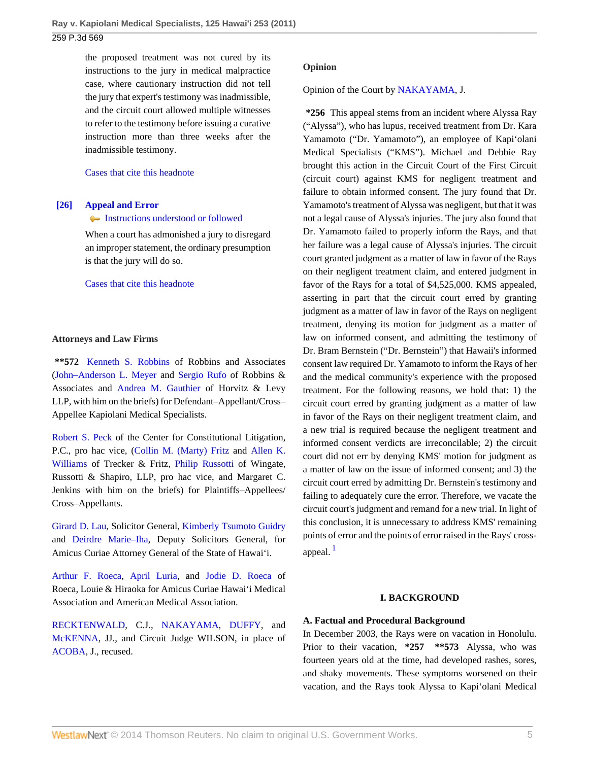the proposed treatment was not cured by its instructions to the jury in medical malpractice case, where cautionary instruction did not tell the jury that expert's testimony was inadmissible, and the circuit court allowed multiple witnesses to refer to the testimony before issuing a curative instruction more than three weeks after the inadmissible testimony.

### [Cases that cite this headnote](http://www.westlaw.com/Link/RelatedInformation/DocHeadnoteLink?docGuid=I50d2a3f3b47511e093b4f77be4dcecfa&headnoteId=202575946602520130206225351&originationContext=document&vr=3.0&rs=cblt1.0&transitionType=CitingReferences&contextData=(sc.Default))

# <span id="page-4-0"></span>**[\[26\]](#page-15-1) [Appeal and Error](http://www.westlaw.com/Browse/Home/KeyNumber/30/View.html?docGuid=I50d2a3f3b47511e093b4f77be4dcecfa&originationContext=document&vr=3.0&rs=cblt1.0&transitionType=DocumentItem&contextData=(sc.Default))**

### [Instructions understood or followed](http://www.westlaw.com/Browse/Home/KeyNumber/30k930(2)/View.html?docGuid=I50d2a3f3b47511e093b4f77be4dcecfa&originationContext=document&vr=3.0&rs=cblt1.0&transitionType=DocumentItem&contextData=(sc.Default))

When a court has admonished a jury to disregard an improper statement, the ordinary presumption is that the jury will do so.

### [Cases that cite this headnote](http://www.westlaw.com/Link/RelatedInformation/DocHeadnoteLink?docGuid=I50d2a3f3b47511e093b4f77be4dcecfa&headnoteId=202575946602620130206225351&originationContext=document&vr=3.0&rs=cblt1.0&transitionType=CitingReferences&contextData=(sc.Default))

## **Attorneys and Law Firms**

**\*\*572** [Kenneth S. Robbins](http://www.westlaw.com/Link/Document/FullText?findType=h&pubNum=176284&cite=0171864501&originatingDoc=I50d2a3f3b47511e093b4f77be4dcecfa&refType=RQ&originationContext=document&vr=3.0&rs=cblt1.0&transitionType=DocumentItem&contextData=(sc.Default)) of Robbins and Associates [\(John–Anderson L. Meyer](http://www.westlaw.com/Link/Document/FullText?findType=h&pubNum=176284&cite=0412280201&originatingDoc=I50d2a3f3b47511e093b4f77be4dcecfa&refType=RQ&originationContext=document&vr=3.0&rs=cblt1.0&transitionType=DocumentItem&contextData=(sc.Default)) and [Sergio Rufo](http://www.westlaw.com/Link/Document/FullText?findType=h&pubNum=176284&cite=0412279901&originatingDoc=I50d2a3f3b47511e093b4f77be4dcecfa&refType=RQ&originationContext=document&vr=3.0&rs=cblt1.0&transitionType=DocumentItem&contextData=(sc.Default)) of Robbins & Associates and [Andrea M. Gauthier](http://www.westlaw.com/Link/Document/FullText?findType=h&pubNum=176284&cite=0178972101&originatingDoc=I50d2a3f3b47511e093b4f77be4dcecfa&refType=RQ&originationContext=document&vr=3.0&rs=cblt1.0&transitionType=DocumentItem&contextData=(sc.Default)) of Horvitz & Levy LLP, with him on the briefs) for Defendant–Appellant/Cross– Appellee Kapiolani Medical Specialists.

[Robert S. Peck](http://www.westlaw.com/Link/Document/FullText?findType=h&pubNum=176284&cite=0107633201&originatingDoc=I50d2a3f3b47511e093b4f77be4dcecfa&refType=RQ&originationContext=document&vr=3.0&rs=cblt1.0&transitionType=DocumentItem&contextData=(sc.Default)) of the Center for Constitutional Litigation, P.C., pro hac vice, ([Collin M. \(Marty\) Fritz](http://www.westlaw.com/Link/Document/FullText?findType=h&pubNum=176284&cite=0142434001&originatingDoc=I50d2a3f3b47511e093b4f77be4dcecfa&refType=RQ&originationContext=document&vr=3.0&rs=cblt1.0&transitionType=DocumentItem&contextData=(sc.Default)) and [Allen K.](http://www.westlaw.com/Link/Document/FullText?findType=h&pubNum=176284&cite=0150051701&originatingDoc=I50d2a3f3b47511e093b4f77be4dcecfa&refType=RQ&originationContext=document&vr=3.0&rs=cblt1.0&transitionType=DocumentItem&contextData=(sc.Default)) [Williams](http://www.westlaw.com/Link/Document/FullText?findType=h&pubNum=176284&cite=0150051701&originatingDoc=I50d2a3f3b47511e093b4f77be4dcecfa&refType=RQ&originationContext=document&vr=3.0&rs=cblt1.0&transitionType=DocumentItem&contextData=(sc.Default)) of Trecker & Fritz, [Philip Russotti](http://www.westlaw.com/Link/Document/FullText?findType=h&pubNum=176284&cite=0179618101&originatingDoc=I50d2a3f3b47511e093b4f77be4dcecfa&refType=RQ&originationContext=document&vr=3.0&rs=cblt1.0&transitionType=DocumentItem&contextData=(sc.Default)) of Wingate, Russotti & Shapiro, LLP, pro hac vice, and Margaret C. Jenkins with him on the briefs) for Plaintiffs–Appellees/ Cross–Appellants.

[Girard D. Lau,](http://www.westlaw.com/Link/Document/FullText?findType=h&pubNum=176284&cite=0228839001&originatingDoc=I50d2a3f3b47511e093b4f77be4dcecfa&refType=RQ&originationContext=document&vr=3.0&rs=cblt1.0&transitionType=DocumentItem&contextData=(sc.Default)) Solicitor General, [Kimberly Tsumoto Guidry](http://www.westlaw.com/Link/Document/FullText?findType=h&pubNum=176284&cite=0372823901&originatingDoc=I50d2a3f3b47511e093b4f77be4dcecfa&refType=RQ&originationContext=document&vr=3.0&rs=cblt1.0&transitionType=DocumentItem&contextData=(sc.Default)) and [Deirdre Marie–Iha](http://www.westlaw.com/Link/Document/FullText?findType=h&pubNum=176284&cite=0464365301&originatingDoc=I50d2a3f3b47511e093b4f77be4dcecfa&refType=RQ&originationContext=document&vr=3.0&rs=cblt1.0&transitionType=DocumentItem&contextData=(sc.Default)), Deputy Solicitors General, for Amicus Curiae Attorney General of the State of Hawai'i.

[Arthur F. Roeca](http://www.westlaw.com/Link/Document/FullText?findType=h&pubNum=176284&cite=0152204101&originatingDoc=I50d2a3f3b47511e093b4f77be4dcecfa&refType=RQ&originationContext=document&vr=3.0&rs=cblt1.0&transitionType=DocumentItem&contextData=(sc.Default)), [April Luria](http://www.westlaw.com/Link/Document/FullText?findType=h&pubNum=176284&cite=0184946101&originatingDoc=I50d2a3f3b47511e093b4f77be4dcecfa&refType=RQ&originationContext=document&vr=3.0&rs=cblt1.0&transitionType=DocumentItem&contextData=(sc.Default)), and [Jodie D. Roeca](http://www.westlaw.com/Link/Document/FullText?findType=h&pubNum=176284&cite=0157503101&originatingDoc=I50d2a3f3b47511e093b4f77be4dcecfa&refType=RQ&originationContext=document&vr=3.0&rs=cblt1.0&transitionType=DocumentItem&contextData=(sc.Default)) of Roeca, Louie & Hiraoka for Amicus Curiae Hawai'i Medical Association and American Medical Association.

[RECKTENWALD](http://www.westlaw.com/Link/Document/FullText?findType=h&pubNum=176284&cite=0118966301&originatingDoc=I50d2a3f3b47511e093b4f77be4dcecfa&refType=RQ&originationContext=document&vr=3.0&rs=cblt1.0&transitionType=DocumentItem&contextData=(sc.Default)), C.J., [NAKAYAMA](http://www.westlaw.com/Link/Document/FullText?findType=h&pubNum=176284&cite=0108333901&originatingDoc=I50d2a3f3b47511e093b4f77be4dcecfa&refType=RQ&originationContext=document&vr=3.0&rs=cblt1.0&transitionType=DocumentItem&contextData=(sc.Default)), [DUFFY](http://www.westlaw.com/Link/Document/FullText?findType=h&pubNum=176284&cite=0164738301&originatingDoc=I50d2a3f3b47511e093b4f77be4dcecfa&refType=RQ&originationContext=document&vr=3.0&rs=cblt1.0&transitionType=DocumentItem&contextData=(sc.Default)), and [McKENNA](http://www.westlaw.com/Link/Document/FullText?findType=h&pubNum=176284&cite=0136949601&originatingDoc=I50d2a3f3b47511e093b4f77be4dcecfa&refType=RQ&originationContext=document&vr=3.0&rs=cblt1.0&transitionType=DocumentItem&contextData=(sc.Default)), JJ., and Circuit Judge WILSON, in place of [ACOBA](http://www.westlaw.com/Link/Document/FullText?findType=h&pubNum=176284&cite=0156887901&originatingDoc=I50d2a3f3b47511e093b4f77be4dcecfa&refType=RQ&originationContext=document&vr=3.0&rs=cblt1.0&transitionType=DocumentItem&contextData=(sc.Default)), J., recused.

## **Opinion**

Opinion of the Court by [NAKAYAMA](http://www.westlaw.com/Link/Document/FullText?findType=h&pubNum=176284&cite=0108333901&originatingDoc=I50d2a3f3b47511e093b4f77be4dcecfa&refType=RQ&originationContext=document&vr=3.0&rs=cblt1.0&transitionType=DocumentItem&contextData=(sc.Default)), J.

**\*256** This appeal stems from an incident where Alyssa Ray ("Alyssa"), who has lupus, received treatment from Dr. Kara Yamamoto ("Dr. Yamamoto"), an employee of Kapi'olani Medical Specialists ("KMS"). Michael and Debbie Ray brought this action in the Circuit Court of the First Circuit (circuit court) against KMS for negligent treatment and failure to obtain informed consent. The jury found that Dr. Yamamoto's treatment of Alyssa was negligent, but that it was not a legal cause of Alyssa's injuries. The jury also found that Dr. Yamamoto failed to properly inform the Rays, and that her failure was a legal cause of Alyssa's injuries. The circuit court granted judgment as a matter of law in favor of the Rays on their negligent treatment claim, and entered judgment in favor of the Rays for a total of \$4,525,000. KMS appealed, asserting in part that the circuit court erred by granting judgment as a matter of law in favor of the Rays on negligent treatment, denying its motion for judgment as a matter of law on informed consent, and admitting the testimony of Dr. Bram Bernstein ("Dr. Bernstein") that Hawaii's informed consent law required Dr. Yamamoto to inform the Rays of her and the medical community's experience with the proposed treatment. For the following reasons, we hold that: 1) the circuit court erred by granting judgment as a matter of law in favor of the Rays on their negligent treatment claim, and a new trial is required because the negligent treatment and informed consent verdicts are irreconcilable; 2) the circuit court did not err by denying KMS' motion for judgment as a matter of law on the issue of informed consent; and 3) the circuit court erred by admitting Dr. Bernstein's testimony and failing to adequately cure the error. Therefore, we vacate the circuit court's judgment and remand for a new trial. In light of this conclusion, it is unnecessary to address KMS' remaining points of error and the points of error raised in the Rays' crossappeal.  $\frac{1}{2}$  $\frac{1}{2}$  $\frac{1}{2}$ 

## <span id="page-4-1"></span>**I. BACKGROUND**

## **A. Factual and Procedural Background**

In December 2003, the Rays were on vacation in Honolulu. Prior to their vacation, **\*257 \*\*573** Alyssa, who was fourteen years old at the time, had developed rashes, sores, and shaky movements. These symptoms worsened on their vacation, and the Rays took Alyssa to Kapi'olani Medical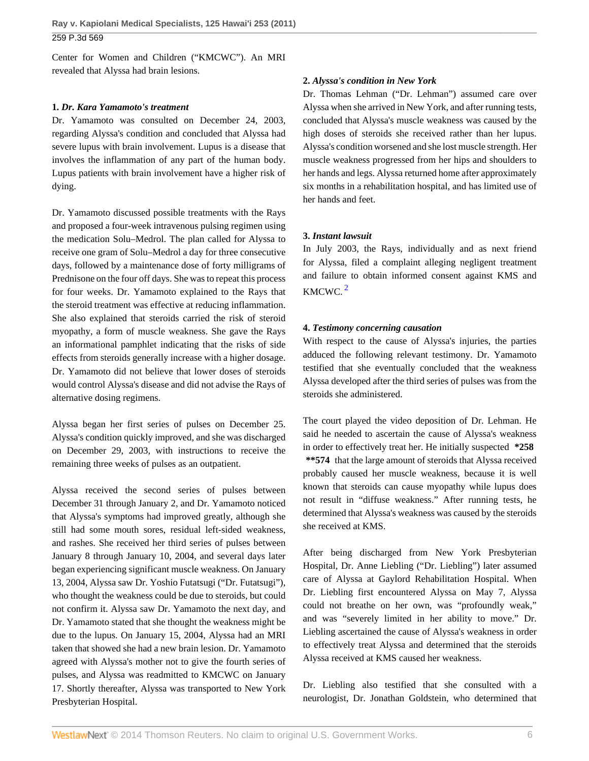Center for Women and Children ("KMCWC"). An MRI revealed that Alyssa had brain lesions.

## **1.** *Dr. Kara Yamamoto's treatment*

Dr. Yamamoto was consulted on December 24, 2003, regarding Alyssa's condition and concluded that Alyssa had severe lupus with brain involvement. Lupus is a disease that involves the inflammation of any part of the human body. Lupus patients with brain involvement have a higher risk of dying.

Dr. Yamamoto discussed possible treatments with the Rays and proposed a four-week intravenous pulsing regimen using the medication Solu–Medrol. The plan called for Alyssa to receive one gram of Solu–Medrol a day for three consecutive days, followed by a maintenance dose of forty milligrams of Prednisone on the four off days. She was to repeat this process for four weeks. Dr. Yamamoto explained to the Rays that the steroid treatment was effective at reducing inflammation. She also explained that steroids carried the risk of steroid myopathy, a form of muscle weakness. She gave the Rays an informational pamphlet indicating that the risks of side effects from steroids generally increase with a higher dosage. Dr. Yamamoto did not believe that lower doses of steroids would control Alyssa's disease and did not advise the Rays of alternative dosing regimens.

Alyssa began her first series of pulses on December 25. Alyssa's condition quickly improved, and she was discharged on December 29, 2003, with instructions to receive the remaining three weeks of pulses as an outpatient.

Alyssa received the second series of pulses between December 31 through January 2, and Dr. Yamamoto noticed that Alyssa's symptoms had improved greatly, although she still had some mouth sores, residual left-sided weakness, and rashes. She received her third series of pulses between January 8 through January 10, 2004, and several days later began experiencing significant muscle weakness. On January 13, 2004, Alyssa saw Dr. Yoshio Futatsugi ("Dr. Futatsugi"), who thought the weakness could be due to steroids, but could not confirm it. Alyssa saw Dr. Yamamoto the next day, and Dr. Yamamoto stated that she thought the weakness might be due to the lupus. On January 15, 2004, Alyssa had an MRI taken that showed she had a new brain lesion. Dr. Yamamoto agreed with Alyssa's mother not to give the fourth series of pulses, and Alyssa was readmitted to KMCWC on January 17. Shortly thereafter, Alyssa was transported to New York Presbyterian Hospital.

# **2.** *Alyssa's condition in New York*

Dr. Thomas Lehman ("Dr. Lehman") assumed care over Alyssa when she arrived in New York, and after running tests, concluded that Alyssa's muscle weakness was caused by the high doses of steroids she received rather than her lupus. Alyssa's condition worsened and she lost muscle strength. Her muscle weakness progressed from her hips and shoulders to her hands and legs. Alyssa returned home after approximately six months in a rehabilitation hospital, and has limited use of her hands and feet.

# **3.** *Instant lawsuit*

<span id="page-5-0"></span>In July 2003, the Rays, individually and as next friend for Alyssa, filed a complaint alleging negligent treatment and failure to obtain informed consent against KMS and KMCWC. [2](#page-15-3)

# **4.** *Testimony concerning causation*

With respect to the cause of Alyssa's injuries, the parties adduced the following relevant testimony. Dr. Yamamoto testified that she eventually concluded that the weakness Alyssa developed after the third series of pulses was from the steroids she administered.

The court played the video deposition of Dr. Lehman. He said he needed to ascertain the cause of Alyssa's weakness in order to effectively treat her. He initially suspected **\*258 \*\*574** that the large amount of steroids that Alyssa received probably caused her muscle weakness, because it is well known that steroids can cause myopathy while lupus does not result in "diffuse weakness." After running tests, he determined that Alyssa's weakness was caused by the steroids she received at KMS.

After being discharged from New York Presbyterian Hospital, Dr. Anne Liebling ("Dr. Liebling") later assumed care of Alyssa at Gaylord Rehabilitation Hospital. When Dr. Liebling first encountered Alyssa on May 7, Alyssa could not breathe on her own, was "profoundly weak," and was "severely limited in her ability to move." Dr. Liebling ascertained the cause of Alyssa's weakness in order to effectively treat Alyssa and determined that the steroids Alyssa received at KMS caused her weakness.

Dr. Liebling also testified that she consulted with a neurologist, Dr. Jonathan Goldstein, who determined that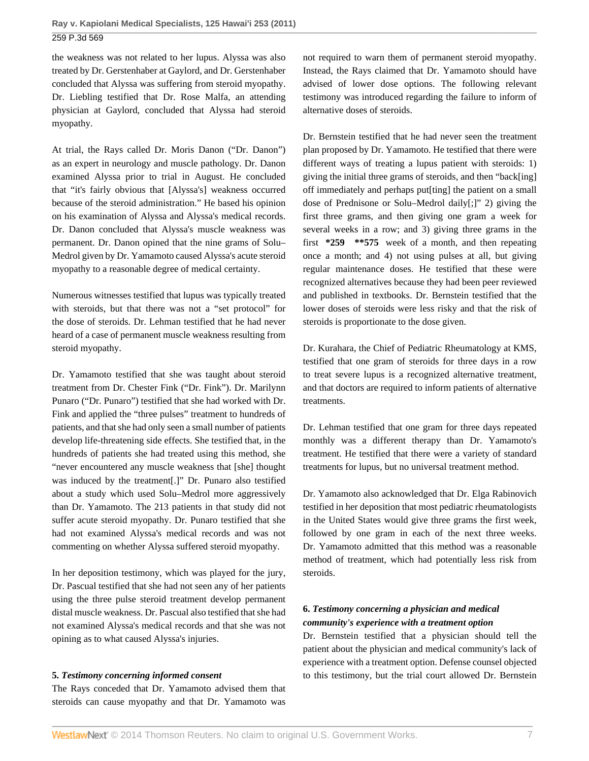the weakness was not related to her lupus. Alyssa was also treated by Dr. Gerstenhaber at Gaylord, and Dr. Gerstenhaber concluded that Alyssa was suffering from steroid myopathy. Dr. Liebling testified that Dr. Rose Malfa, an attending physician at Gaylord, concluded that Alyssa had steroid myopathy.

At trial, the Rays called Dr. Moris Danon ("Dr. Danon") as an expert in neurology and muscle pathology. Dr. Danon examined Alyssa prior to trial in August. He concluded that "it's fairly obvious that [Alyssa's] weakness occurred because of the steroid administration." He based his opinion on his examination of Alyssa and Alyssa's medical records. Dr. Danon concluded that Alyssa's muscle weakness was permanent. Dr. Danon opined that the nine grams of Solu– Medrol given by Dr. Yamamoto caused Alyssa's acute steroid myopathy to a reasonable degree of medical certainty.

Numerous witnesses testified that lupus was typically treated with steroids, but that there was not a "set protocol" for the dose of steroids. Dr. Lehman testified that he had never heard of a case of permanent muscle weakness resulting from steroid myopathy.

Dr. Yamamoto testified that she was taught about steroid treatment from Dr. Chester Fink ("Dr. Fink"). Dr. Marilynn Punaro ("Dr. Punaro") testified that she had worked with Dr. Fink and applied the "three pulses" treatment to hundreds of patients, and that she had only seen a small number of patients develop life-threatening side effects. She testified that, in the hundreds of patients she had treated using this method, she "never encountered any muscle weakness that [she] thought was induced by the treatment[.]" Dr. Punaro also testified about a study which used Solu–Medrol more aggressively than Dr. Yamamoto. The 213 patients in that study did not suffer acute steroid myopathy. Dr. Punaro testified that she had not examined Alyssa's medical records and was not commenting on whether Alyssa suffered steroid myopathy.

In her deposition testimony, which was played for the jury, Dr. Pascual testified that she had not seen any of her patients using the three pulse steroid treatment develop permanent distal muscle weakness. Dr. Pascual also testified that she had not examined Alyssa's medical records and that she was not opining as to what caused Alyssa's injuries.

## **5.** *Testimony concerning informed consent*

The Rays conceded that Dr. Yamamoto advised them that steroids can cause myopathy and that Dr. Yamamoto was not required to warn them of permanent steroid myopathy. Instead, the Rays claimed that Dr. Yamamoto should have advised of lower dose options. The following relevant testimony was introduced regarding the failure to inform of alternative doses of steroids.

Dr. Bernstein testified that he had never seen the treatment plan proposed by Dr. Yamamoto. He testified that there were different ways of treating a lupus patient with steroids: 1) giving the initial three grams of steroids, and then "back[ing] off immediately and perhaps put[ting] the patient on a small dose of Prednisone or Solu–Medrol daily[;]" 2) giving the first three grams, and then giving one gram a week for several weeks in a row; and 3) giving three grams in the first **\*259 \*\*575** week of a month, and then repeating once a month; and 4) not using pulses at all, but giving regular maintenance doses. He testified that these were recognized alternatives because they had been peer reviewed and published in textbooks. Dr. Bernstein testified that the lower doses of steroids were less risky and that the risk of steroids is proportionate to the dose given.

Dr. Kurahara, the Chief of Pediatric Rheumatology at KMS, testified that one gram of steroids for three days in a row to treat severe lupus is a recognized alternative treatment, and that doctors are required to inform patients of alternative treatments.

Dr. Lehman testified that one gram for three days repeated monthly was a different therapy than Dr. Yamamoto's treatment. He testified that there were a variety of standard treatments for lupus, but no universal treatment method.

Dr. Yamamoto also acknowledged that Dr. Elga Rabinovich testified in her deposition that most pediatric rheumatologists in the United States would give three grams the first week, followed by one gram in each of the next three weeks. Dr. Yamamoto admitted that this method was a reasonable method of treatment, which had potentially less risk from steroids.

# **6.** *Testimony concerning a physician and medical community's experience with a treatment option*

Dr. Bernstein testified that a physician should tell the patient about the physician and medical community's lack of experience with a treatment option. Defense counsel objected to this testimony, but the trial court allowed Dr. Bernstein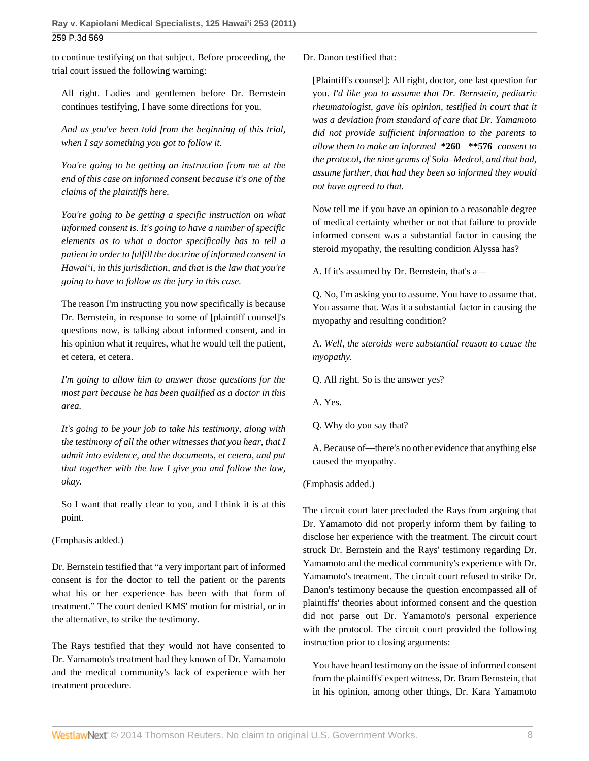to continue testifying on that subject. Before proceeding, the trial court issued the following warning:

All right. Ladies and gentlemen before Dr. Bernstein continues testifying, I have some directions for you.

*And as you've been told from the beginning of this trial, when I say something you got to follow it.*

*You're going to be getting an instruction from me at the end of this case on informed consent because it's one of the claims of the plaintiffs here.*

*You're going to be getting a specific instruction on what informed consent is. It's going to have a number of specific elements as to what a doctor specifically has to tell a patient in order to fulfill the doctrine of informed consent in Hawai'i, in this jurisdiction, and that is the law that you're going to have to follow as the jury in this case.*

The reason I'm instructing you now specifically is because Dr. Bernstein, in response to some of [plaintiff counsel]'s questions now, is talking about informed consent, and in his opinion what it requires, what he would tell the patient, et cetera, et cetera.

*I'm going to allow him to answer those questions for the most part because he has been qualified as a doctor in this area.*

*It's going to be your job to take his testimony, along with the testimony of all the other witnesses that you hear, that I admit into evidence, and the documents, et cetera, and put that together with the law I give you and follow the law, okay.*

So I want that really clear to you, and I think it is at this point.

(Emphasis added.)

Dr. Bernstein testified that "a very important part of informed consent is for the doctor to tell the patient or the parents what his or her experience has been with that form of treatment." The court denied KMS' motion for mistrial, or in the alternative, to strike the testimony.

The Rays testified that they would not have consented to Dr. Yamamoto's treatment had they known of Dr. Yamamoto and the medical community's lack of experience with her treatment procedure.

Dr. Danon testified that:

[Plaintiff's counsel]: All right, doctor, one last question for you. *I'd like you to assume that Dr. Bernstein, pediatric rheumatologist, gave his opinion, testified in court that it was a deviation from standard of care that Dr. Yamamoto did not provide sufficient information to the parents to allow them to make an informed* **\*260 \*\*576** *consent to the protocol, the nine grams of Solu–Medrol, and that had, assume further, that had they been so informed they would not have agreed to that.*

Now tell me if you have an opinion to a reasonable degree of medical certainty whether or not that failure to provide informed consent was a substantial factor in causing the steroid myopathy, the resulting condition Alyssa has?

A. If it's assumed by Dr. Bernstein, that's a—

Q. No, I'm asking you to assume. You have to assume that. You assume that. Was it a substantial factor in causing the myopathy and resulting condition?

A. *Well, the steroids were substantial reason to cause the myopathy.*

Q. All right. So is the answer yes?

A. Yes.

Q. Why do you say that?

A. Because of—there's no other evidence that anything else caused the myopathy.

# (Emphasis added.)

The circuit court later precluded the Rays from arguing that Dr. Yamamoto did not properly inform them by failing to disclose her experience with the treatment. The circuit court struck Dr. Bernstein and the Rays' testimony regarding Dr. Yamamoto and the medical community's experience with Dr. Yamamoto's treatment. The circuit court refused to strike Dr. Danon's testimony because the question encompassed all of plaintiffs' theories about informed consent and the question did not parse out Dr. Yamamoto's personal experience with the protocol. The circuit court provided the following instruction prior to closing arguments:

You have heard testimony on the issue of informed consent from the plaintiffs' expert witness, Dr. Bram Bernstein, that in his opinion, among other things, Dr. Kara Yamamoto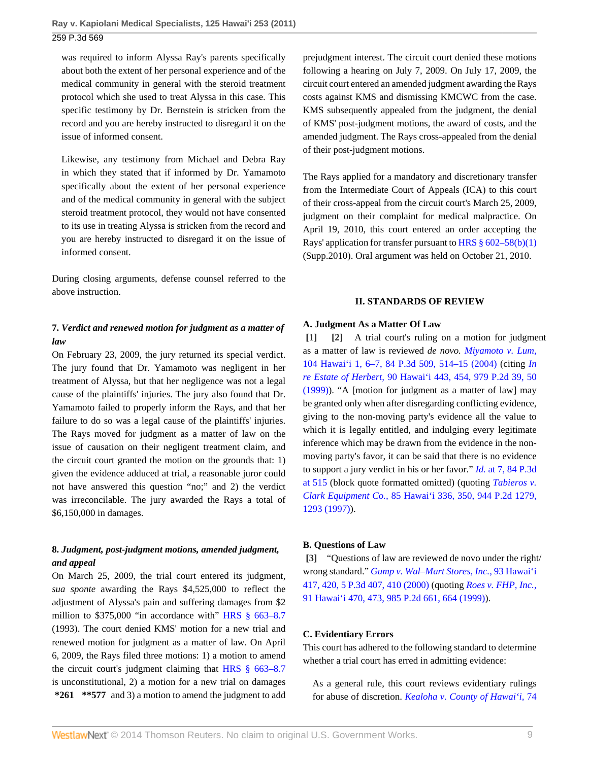was required to inform Alyssa Ray's parents specifically about both the extent of her personal experience and of the medical community in general with the steroid treatment protocol which she used to treat Alyssa in this case. This specific testimony by Dr. Bernstein is stricken from the record and you are hereby instructed to disregard it on the issue of informed consent.

Likewise, any testimony from Michael and Debra Ray in which they stated that if informed by Dr. Yamamoto specifically about the extent of her personal experience and of the medical community in general with the subject steroid treatment protocol, they would not have consented to its use in treating Alyssa is stricken from the record and you are hereby instructed to disregard it on the issue of informed consent.

During closing arguments, defense counsel referred to the above instruction.

# **7.** *Verdict and renewed motion for judgment as a matter of law*

On February 23, 2009, the jury returned its special verdict. The jury found that Dr. Yamamoto was negligent in her treatment of Alyssa, but that her negligence was not a legal cause of the plaintiffs' injuries. The jury also found that Dr. Yamamoto failed to properly inform the Rays, and that her failure to do so was a legal cause of the plaintiffs' injuries. The Rays moved for judgment as a matter of law on the issue of causation on their negligent treatment claim, and the circuit court granted the motion on the grounds that: 1) given the evidence adduced at trial, a reasonable juror could not have answered this question "no;" and 2) the verdict was irreconcilable. The jury awarded the Rays a total of \$6,150,000 in damages.

# **8.** *Judgment, post-judgment motions, amended judgment, and appeal*

On March 25, 2009, the trial court entered its judgment, *sua sponte* awarding the Rays \$4,525,000 to reflect the adjustment of Alyssa's pain and suffering damages from \$2 million to \$375,000 "in accordance with" [HRS § 663–8.7](http://www.westlaw.com/Link/Document/FullText?findType=L&pubNum=1000522&cite=HISTS663-8.7&originatingDoc=I50d2a3f3b47511e093b4f77be4dcecfa&refType=LQ&originationContext=document&vr=3.0&rs=cblt1.0&transitionType=DocumentItem&contextData=(sc.Default)) (1993). The court denied KMS' motion for a new trial and renewed motion for judgment as a matter of law. On April 6, 2009, the Rays filed three motions: 1) a motion to amend the circuit court's judgment claiming that [HRS § 663–8.7](http://www.westlaw.com/Link/Document/FullText?findType=L&pubNum=1000522&cite=HISTS663-8.7&originatingDoc=I50d2a3f3b47511e093b4f77be4dcecfa&refType=LQ&originationContext=document&vr=3.0&rs=cblt1.0&transitionType=DocumentItem&contextData=(sc.Default)) is unconstitutional, 2) a motion for a new trial on damages **\*261 \*\*577** and 3) a motion to amend the judgment to add

prejudgment interest. The circuit court denied these motions following a hearing on July 7, 2009. On July 17, 2009, the circuit court entered an amended judgment awarding the Rays costs against KMS and dismissing KMCWC from the case. KMS subsequently appealed from the judgment, the denial of KMS' post-judgment motions, the award of costs, and the amended judgment. The Rays cross-appealed from the denial of their post-judgment motions.

The Rays applied for a mandatory and discretionary transfer from the Intermediate Court of Appeals (ICA) to this court of their cross-appeal from the circuit court's March 25, 2009, judgment on their complaint for medical malpractice. On April 19, 2010, this court entered an order accepting the Rays' application for transfer pursuant to [HRS § 602–58\(b\)\(1\)](http://www.westlaw.com/Link/Document/FullText?findType=L&pubNum=1000522&cite=HISTS602-58&originatingDoc=I50d2a3f3b47511e093b4f77be4dcecfa&refType=SP&originationContext=document&vr=3.0&rs=cblt1.0&transitionType=DocumentItem&contextData=(sc.Default)#co_pp_3fed000053a85) (Supp.2010). Oral argument was held on October 21, 2010.

### <span id="page-8-1"></span>**II. STANDARDS OF REVIEW**

### **A. Judgment As a Matter Of Law**

<span id="page-8-0"></span>**[\[1\]](#page-0-0) [\[2\]](#page-0-1)** A trial court's ruling on a motion for judgment as a matter of law is reviewed *de novo. [Miyamoto v. Lum,](http://www.westlaw.com/Link/Document/FullText?findType=Y&serNum=2004116939&pubNum=4645&fi=co_pp_sp_4645_514&originationContext=document&vr=3.0&rs=cblt1.0&transitionType=DocumentItem&contextData=(sc.Default)#co_pp_sp_4645_514)* [104 Hawai'i 1, 6–7, 84 P.3d 509, 514–15 \(2004\)](http://www.westlaw.com/Link/Document/FullText?findType=Y&serNum=2004116939&pubNum=4645&fi=co_pp_sp_4645_514&originationContext=document&vr=3.0&rs=cblt1.0&transitionType=DocumentItem&contextData=(sc.Default)#co_pp_sp_4645_514) (citing *[In](http://www.westlaw.com/Link/Document/FullText?findType=Y&serNum=1999082231&pubNum=661&fi=co_pp_sp_661_50&originationContext=document&vr=3.0&rs=cblt1.0&transitionType=DocumentItem&contextData=(sc.Default)#co_pp_sp_661_50) re Estate of Herbert,* [90 Hawai'i 443, 454, 979 P.2d 39, 50](http://www.westlaw.com/Link/Document/FullText?findType=Y&serNum=1999082231&pubNum=661&fi=co_pp_sp_661_50&originationContext=document&vr=3.0&rs=cblt1.0&transitionType=DocumentItem&contextData=(sc.Default)#co_pp_sp_661_50) [\(1999\)\)](http://www.westlaw.com/Link/Document/FullText?findType=Y&serNum=1999082231&pubNum=661&fi=co_pp_sp_661_50&originationContext=document&vr=3.0&rs=cblt1.0&transitionType=DocumentItem&contextData=(sc.Default)#co_pp_sp_661_50). "A [motion for judgment as a matter of law] may be granted only when after disregarding conflicting evidence, giving to the non-moving party's evidence all the value to which it is legally entitled, and indulging every legitimate inference which may be drawn from the evidence in the nonmoving party's favor, it can be said that there is no evidence to support a jury verdict in his or her favor." *Id.* [at 7, 84 P.3d](http://www.westlaw.com/Link/Document/FullText?findType=Y&serNum=2004116939&pubNum=4645&fi=co_pp_sp_4645_515&originationContext=document&vr=3.0&rs=cblt1.0&transitionType=DocumentItem&contextData=(sc.Default)#co_pp_sp_4645_515) [at 515](http://www.westlaw.com/Link/Document/FullText?findType=Y&serNum=2004116939&pubNum=4645&fi=co_pp_sp_4645_515&originationContext=document&vr=3.0&rs=cblt1.0&transitionType=DocumentItem&contextData=(sc.Default)#co_pp_sp_4645_515) (block quote formatted omitted) (quoting *[Tabieros v.](http://www.westlaw.com/Link/Document/FullText?findType=Y&serNum=1997188836&pubNum=661&fi=co_pp_sp_661_1293&originationContext=document&vr=3.0&rs=cblt1.0&transitionType=DocumentItem&contextData=(sc.Default)#co_pp_sp_661_1293) Clark Equipment Co.,* [85 Hawai'i 336, 350, 944 P.2d 1279,](http://www.westlaw.com/Link/Document/FullText?findType=Y&serNum=1997188836&pubNum=661&fi=co_pp_sp_661_1293&originationContext=document&vr=3.0&rs=cblt1.0&transitionType=DocumentItem&contextData=(sc.Default)#co_pp_sp_661_1293) [1293 \(1997\)](http://www.westlaw.com/Link/Document/FullText?findType=Y&serNum=1997188836&pubNum=661&fi=co_pp_sp_661_1293&originationContext=document&vr=3.0&rs=cblt1.0&transitionType=DocumentItem&contextData=(sc.Default)#co_pp_sp_661_1293)).

### **B. Questions of Law**

<span id="page-8-2"></span>**[\[3\]](#page-0-2)** "Questions of law are reviewed de novo under the right/ wrong standard." *[Gump v. Wal–Mart Stores, Inc.,](http://www.westlaw.com/Link/Document/FullText?findType=Y&serNum=2000455361&pubNum=4645&fi=co_pp_sp_4645_410&originationContext=document&vr=3.0&rs=cblt1.0&transitionType=DocumentItem&contextData=(sc.Default)#co_pp_sp_4645_410)* 93 Hawai'i [417, 420, 5 P.3d 407, 410 \(2000\)](http://www.westlaw.com/Link/Document/FullText?findType=Y&serNum=2000455361&pubNum=4645&fi=co_pp_sp_4645_410&originationContext=document&vr=3.0&rs=cblt1.0&transitionType=DocumentItem&contextData=(sc.Default)#co_pp_sp_4645_410) (quoting *[Roes v. FHP, Inc.,](http://www.westlaw.com/Link/Document/FullText?findType=Y&serNum=1999226179&pubNum=661&fi=co_pp_sp_661_664&originationContext=document&vr=3.0&rs=cblt1.0&transitionType=DocumentItem&contextData=(sc.Default)#co_pp_sp_661_664)* [91 Hawai'i 470, 473, 985 P.2d 661, 664 \(1999\)](http://www.westlaw.com/Link/Document/FullText?findType=Y&serNum=1999226179&pubNum=661&fi=co_pp_sp_661_664&originationContext=document&vr=3.0&rs=cblt1.0&transitionType=DocumentItem&contextData=(sc.Default)#co_pp_sp_661_664)).

### **C. Evidentiary Errors**

This court has adhered to the following standard to determine whether a trial court has erred in admitting evidence:

As a general rule, this court reviews evidentiary rulings for abuse of discretion. *[Kealoha v. County of Hawai'i,](http://www.westlaw.com/Link/Document/FullText?findType=Y&serNum=1993028448&pubNum=661&fi=co_pp_sp_661_676&originationContext=document&vr=3.0&rs=cblt1.0&transitionType=DocumentItem&contextData=(sc.Default)#co_pp_sp_661_676)* 74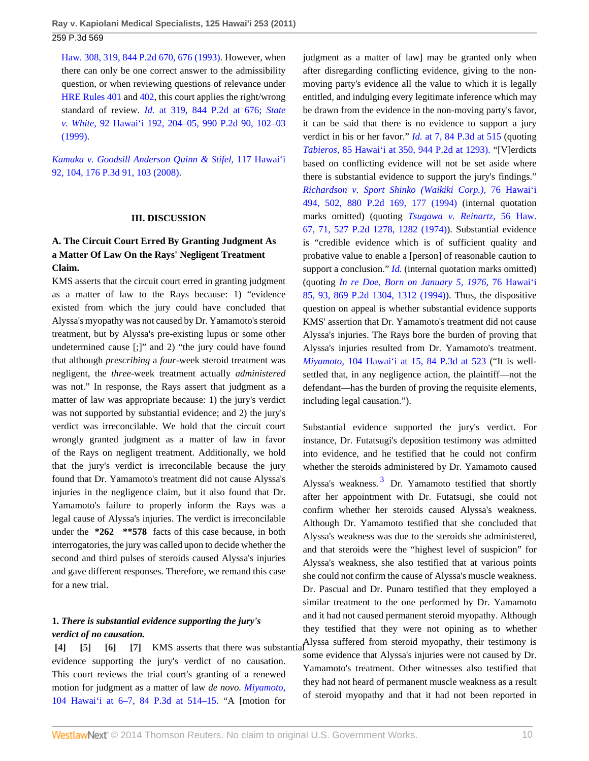**Ray v. Kapiolani Medical Specialists, 125 Hawai'i 253 (2011)** 259 P.3d 569

[Haw. 308, 319, 844 P.2d 670, 676 \(1993\)](http://www.westlaw.com/Link/Document/FullText?findType=Y&serNum=1993028448&pubNum=661&fi=co_pp_sp_661_676&originationContext=document&vr=3.0&rs=cblt1.0&transitionType=DocumentItem&contextData=(sc.Default)#co_pp_sp_661_676). However, when there can only be one correct answer to the admissibility question, or when reviewing questions of relevance under [HRE Rules 401](http://www.westlaw.com/Link/Document/FullText?findType=L&pubNum=1008199&cite=HIRREVR401&originatingDoc=I50d2a3f3b47511e093b4f77be4dcecfa&refType=LQ&originationContext=document&vr=3.0&rs=cblt1.0&transitionType=DocumentItem&contextData=(sc.Default)) and [402](http://www.westlaw.com/Link/Document/FullText?findType=L&pubNum=1008199&cite=HIRREVR402&originatingDoc=I50d2a3f3b47511e093b4f77be4dcecfa&refType=LQ&originationContext=document&vr=3.0&rs=cblt1.0&transitionType=DocumentItem&contextData=(sc.Default)), this court applies the right/wrong standard of review. *Id.* [at 319, 844 P.2d at 676;](http://www.westlaw.com/Link/Document/FullText?findType=Y&serNum=1993028448&pubNum=661&fi=co_pp_sp_661_676&originationContext=document&vr=3.0&rs=cblt1.0&transitionType=DocumentItem&contextData=(sc.Default)#co_pp_sp_661_676) *[State](http://www.westlaw.com/Link/Document/FullText?findType=Y&serNum=1999284851&pubNum=661&fi=co_pp_sp_661_102&originationContext=document&vr=3.0&rs=cblt1.0&transitionType=DocumentItem&contextData=(sc.Default)#co_pp_sp_661_102) v. White,* [92 Hawai'i 192, 204–05, 990 P.2d 90, 102–03](http://www.westlaw.com/Link/Document/FullText?findType=Y&serNum=1999284851&pubNum=661&fi=co_pp_sp_661_102&originationContext=document&vr=3.0&rs=cblt1.0&transitionType=DocumentItem&contextData=(sc.Default)#co_pp_sp_661_102) [\(1999\).](http://www.westlaw.com/Link/Document/FullText?findType=Y&serNum=1999284851&pubNum=661&fi=co_pp_sp_661_102&originationContext=document&vr=3.0&rs=cblt1.0&transitionType=DocumentItem&contextData=(sc.Default)#co_pp_sp_661_102)

*[Kamaka v. Goodsill Anderson Quinn & Stifel,](http://www.westlaw.com/Link/Document/FullText?findType=Y&serNum=2014857020&pubNum=4645&fi=co_pp_sp_4645_103&originationContext=document&vr=3.0&rs=cblt1.0&transitionType=DocumentItem&contextData=(sc.Default)#co_pp_sp_4645_103)* 117 Hawai'i [92, 104, 176 P.3d 91, 103 \(2008\)](http://www.westlaw.com/Link/Document/FullText?findType=Y&serNum=2014857020&pubNum=4645&fi=co_pp_sp_4645_103&originationContext=document&vr=3.0&rs=cblt1.0&transitionType=DocumentItem&contextData=(sc.Default)#co_pp_sp_4645_103).

#### **III. DISCUSSION**

# **A. The Circuit Court Erred By Granting Judgment As a Matter Of Law On the Rays' Negligent Treatment Claim.**

KMS asserts that the circuit court erred in granting judgment as a matter of law to the Rays because: 1) "evidence existed from which the jury could have concluded that Alyssa's myopathy was not caused by Dr. Yamamoto's steroid treatment, but by Alyssa's pre-existing lupus or some other undetermined cause [;]" and 2) "the jury could have found that although *prescribing* a *four*-week steroid treatment was negligent, the *three*-week treatment actually *administered* was not." In response, the Rays assert that judgment as a matter of law was appropriate because: 1) the jury's verdict was not supported by substantial evidence; and 2) the jury's verdict was irreconcilable. We hold that the circuit court wrongly granted judgment as a matter of law in favor of the Rays on negligent treatment. Additionally, we hold that the jury's verdict is irreconcilable because the jury found that Dr. Yamamoto's treatment did not cause Alyssa's injuries in the negligence claim, but it also found that Dr. Yamamoto's failure to properly inform the Rays was a legal cause of Alyssa's injuries. The verdict is irreconcilable under the **\*262 \*\*578** facts of this case because, in both interrogatories, the jury was called upon to decide whether the second and third pulses of steroids caused Alyssa's injuries and gave different responses. Therefore, we remand this case for a new trial.

## **1.** *There is substantial evidence supporting the jury's verdict of no causation.*

<span id="page-9-3"></span><span id="page-9-2"></span><span id="page-9-1"></span><span id="page-9-0"></span>evidence supporting the jury's verdict of no causation. This court reviews the trial court's granting of a renewed motion for judgment as a matter of law *de novo. [Miyamoto,](http://www.westlaw.com/Link/Document/FullText?findType=Y&serNum=2004116939&pubNum=4645&fi=co_pp_sp_4645_514&originationContext=document&vr=3.0&rs=cblt1.0&transitionType=DocumentItem&contextData=(sc.Default)#co_pp_sp_4645_514)* [104 Hawai'i at 6–7, 84 P.3d at 514–15.](http://www.westlaw.com/Link/Document/FullText?findType=Y&serNum=2004116939&pubNum=4645&fi=co_pp_sp_4645_514&originationContext=document&vr=3.0&rs=cblt1.0&transitionType=DocumentItem&contextData=(sc.Default)#co_pp_sp_4645_514) "A [motion for

judgment as a matter of law] may be granted only when after disregarding conflicting evidence, giving to the nonmoving party's evidence all the value to which it is legally entitled, and indulging every legitimate inference which may be drawn from the evidence in the non-moving party's favor, it can be said that there is no evidence to support a jury verdict in his or her favor." *Id.* [at 7, 84 P.3d at 515](http://www.westlaw.com/Link/Document/FullText?findType=Y&serNum=2004116939&pubNum=4645&fi=co_pp_sp_4645_515&originationContext=document&vr=3.0&rs=cblt1.0&transitionType=DocumentItem&contextData=(sc.Default)#co_pp_sp_4645_515) (quoting *Tabieros,* [85 Hawai'i at 350, 944 P.2d at 1293\).](http://www.westlaw.com/Link/Document/FullText?findType=Y&serNum=1997188836&pubNum=661&fi=co_pp_sp_661_1293&originationContext=document&vr=3.0&rs=cblt1.0&transitionType=DocumentItem&contextData=(sc.Default)#co_pp_sp_661_1293) "[V]erdicts based on conflicting evidence will not be set aside where there is substantial evidence to support the jury's findings." *[Richardson v. Sport Shinko \(Waikiki Corp.\),](http://www.westlaw.com/Link/Document/FullText?findType=Y&serNum=1994177709&pubNum=661&fi=co_pp_sp_661_177&originationContext=document&vr=3.0&rs=cblt1.0&transitionType=DocumentItem&contextData=(sc.Default)#co_pp_sp_661_177)* 76 Hawai'i [494, 502, 880 P.2d 169, 177 \(1994\)](http://www.westlaw.com/Link/Document/FullText?findType=Y&serNum=1994177709&pubNum=661&fi=co_pp_sp_661_177&originationContext=document&vr=3.0&rs=cblt1.0&transitionType=DocumentItem&contextData=(sc.Default)#co_pp_sp_661_177) (internal quotation marks omitted) (quoting *[Tsugawa v. Reinartz,](http://www.westlaw.com/Link/Document/FullText?findType=Y&serNum=1974126142&pubNum=661&fi=co_pp_sp_661_1282&originationContext=document&vr=3.0&rs=cblt1.0&transitionType=DocumentItem&contextData=(sc.Default)#co_pp_sp_661_1282)* 56 Haw. [67, 71, 527 P.2d 1278, 1282 \(1974\)\)](http://www.westlaw.com/Link/Document/FullText?findType=Y&serNum=1974126142&pubNum=661&fi=co_pp_sp_661_1282&originationContext=document&vr=3.0&rs=cblt1.0&transitionType=DocumentItem&contextData=(sc.Default)#co_pp_sp_661_1282). Substantial evidence is "credible evidence which is of sufficient quality and probative value to enable a [person] of reasonable caution to support a conclusion." *[Id.](http://www.westlaw.com/Link/Document/FullText?findType=Y&serNum=1994177709&originationContext=document&vr=3.0&rs=cblt1.0&transitionType=DocumentItem&contextData=(sc.Default))* (internal quotation marks omitted) (quoting *[In re Doe, Born on January 5, 1976,](http://www.westlaw.com/Link/Document/FullText?findType=Y&serNum=1994057993&pubNum=661&fi=co_pp_sp_661_1312&originationContext=document&vr=3.0&rs=cblt1.0&transitionType=DocumentItem&contextData=(sc.Default)#co_pp_sp_661_1312)* 76 Hawai'i [85, 93, 869 P.2d 1304, 1312 \(1994\)](http://www.westlaw.com/Link/Document/FullText?findType=Y&serNum=1994057993&pubNum=661&fi=co_pp_sp_661_1312&originationContext=document&vr=3.0&rs=cblt1.0&transitionType=DocumentItem&contextData=(sc.Default)#co_pp_sp_661_1312)). Thus, the dispositive question on appeal is whether substantial evidence supports KMS' assertion that Dr. Yamamoto's treatment did not cause Alyssa's injuries. The Rays bore the burden of proving that Alyssa's injuries resulted from Dr. Yamamoto's treatment. *Miyamoto,* [104 Hawai'i at 15, 84 P.3d at 523](http://www.westlaw.com/Link/Document/FullText?findType=Y&serNum=2004116939&pubNum=4645&fi=co_pp_sp_4645_523&originationContext=document&vr=3.0&rs=cblt1.0&transitionType=DocumentItem&contextData=(sc.Default)#co_pp_sp_4645_523) ("It is wellsettled that, in any negligence action, the plaintiff—not the defendant—has the burden of proving the requisite elements, including legal causation.").

<span id="page-9-4"></span>**[\[4\]](#page-1-0) [\[5\]](#page-1-2) [\[6\]](#page-1-3) [\[7\]](#page-1-4)** KMS asserts that there was substantial Alyssa suffered from steroid myopathy, their testimony is Substantial evidence supported the jury's verdict. For instance, Dr. Futatsugi's deposition testimony was admitted into evidence, and he testified that he could not confirm whether the steroids administered by Dr. Yamamoto caused Alyssa's weakness.<sup>[3](#page-15-4)</sup> Dr. Yamamoto testified that shortly after her appointment with Dr. Futatsugi, she could not confirm whether her steroids caused Alyssa's weakness. Although Dr. Yamamoto testified that she concluded that Alyssa's weakness was due to the steroids she administered, and that steroids were the "highest level of suspicion" for Alyssa's weakness, she also testified that at various points she could not confirm the cause of Alyssa's muscle weakness. Dr. Pascual and Dr. Punaro testified that they employed a similar treatment to the one performed by Dr. Yamamoto and it had not caused permanent steroid myopathy. Although they testified that they were not opining as to whether some evidence that Alyssa's injuries were not caused by Dr. Yamamoto's treatment. Other witnesses also testified that they had not heard of permanent muscle weakness as a result of steroid myopathy and that it had not been reported in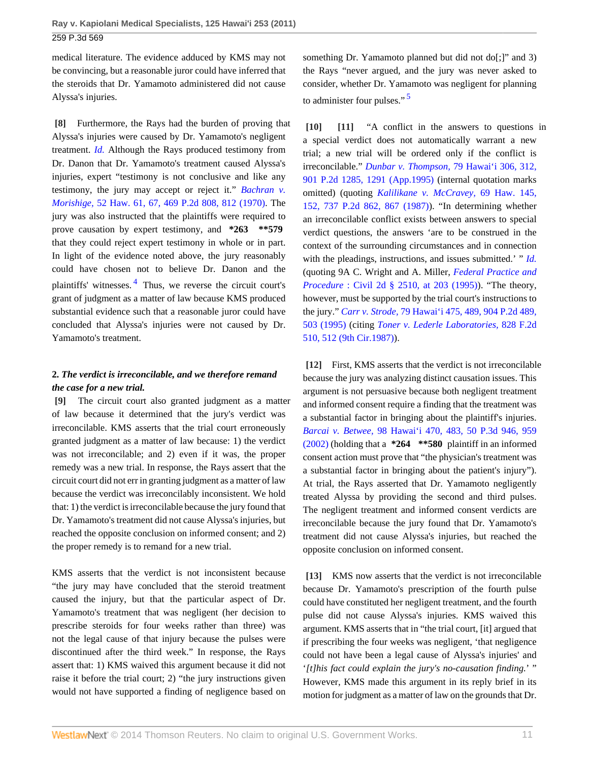medical literature. The evidence adduced by KMS may not be convincing, but a reasonable juror could have inferred that the steroids that Dr. Yamamoto administered did not cause Alyssa's injuries.

<span id="page-10-0"></span>**[\[8\]](#page-1-5)** Furthermore, the Rays had the burden of proving that Alyssa's injuries were caused by Dr. Yamamoto's negligent treatment. *[Id.](http://www.westlaw.com/Link/Document/FullText?findType=Y&serNum=2004116939&originationContext=document&vr=3.0&rs=cblt1.0&transitionType=DocumentItem&contextData=(sc.Default))* Although the Rays produced testimony from Dr. Danon that Dr. Yamamoto's treatment caused Alyssa's injuries, expert "testimony is not conclusive and like any testimony, the jury may accept or reject it." *[Bachran v.](http://www.westlaw.com/Link/Document/FullText?findType=Y&serNum=1970131458&pubNum=661&fi=co_pp_sp_661_812&originationContext=document&vr=3.0&rs=cblt1.0&transitionType=DocumentItem&contextData=(sc.Default)#co_pp_sp_661_812) Morishige,* [52 Haw. 61, 67, 469 P.2d 808, 812 \(1970\).](http://www.westlaw.com/Link/Document/FullText?findType=Y&serNum=1970131458&pubNum=661&fi=co_pp_sp_661_812&originationContext=document&vr=3.0&rs=cblt1.0&transitionType=DocumentItem&contextData=(sc.Default)#co_pp_sp_661_812) The jury was also instructed that the plaintiffs were required to prove causation by expert testimony, and **\*263 \*\*579** that they could reject expert testimony in whole or in part. In light of the evidence noted above, the jury reasonably could have chosen not to believe Dr. Danon and the plaintiffs' witnesses.<sup>[4](#page-15-5)</sup> Thus, we reverse the circuit court's grant of judgment as a matter of law because KMS produced substantial evidence such that a reasonable juror could have concluded that Alyssa's injuries were not caused by Dr. Yamamoto's treatment.

# <span id="page-10-6"></span>**2.** *The verdict is irreconcilable, and we therefore remand the case for a new trial.*

<span id="page-10-1"></span>**[\[9\]](#page-1-1)** The circuit court also granted judgment as a matter of law because it determined that the jury's verdict was irreconcilable. KMS asserts that the trial court erroneously granted judgment as a matter of law because: 1) the verdict was not irreconcilable; and 2) even if it was, the proper remedy was a new trial. In response, the Rays assert that the circuit court did not err in granting judgment as a matter of law because the verdict was irreconcilably inconsistent. We hold that: 1) the verdict is irreconcilable because the jury found that Dr. Yamamoto's treatment did not cause Alyssa's injuries, but reached the opposite conclusion on informed consent; and 2) the proper remedy is to remand for a new trial.

KMS asserts that the verdict is not inconsistent because "the jury may have concluded that the steroid treatment caused the injury, but that the particular aspect of Dr. Yamamoto's treatment that was negligent (her decision to prescribe steroids for four weeks rather than three) was not the legal cause of that injury because the pulses were discontinued after the third week." In response, the Rays assert that: 1) KMS waived this argument because it did not raise it before the trial court; 2) "the jury instructions given would not have supported a finding of negligence based on something Dr. Yamamoto planned but did not do[;]" and 3) the Rays "never argued, and the jury was never asked to consider, whether Dr. Yamamoto was negligent for planning to administer four pulses."<sup>[5](#page-15-6)</sup>

<span id="page-10-7"></span><span id="page-10-3"></span><span id="page-10-2"></span>**[\[10\]](#page-1-6) [\[11\]](#page-1-7)** "A conflict in the answers to questions in a special verdict does not automatically warrant a new trial; a new trial will be ordered only if the conflict is irreconcilable." *Dunbar v. Thompson,* [79 Hawai'i 306, 312,](http://www.westlaw.com/Link/Document/FullText?findType=Y&serNum=1995166008&pubNum=661&fi=co_pp_sp_661_1291&originationContext=document&vr=3.0&rs=cblt1.0&transitionType=DocumentItem&contextData=(sc.Default)#co_pp_sp_661_1291) [901 P.2d 1285, 1291 \(App.1995\)](http://www.westlaw.com/Link/Document/FullText?findType=Y&serNum=1995166008&pubNum=661&fi=co_pp_sp_661_1291&originationContext=document&vr=3.0&rs=cblt1.0&transitionType=DocumentItem&contextData=(sc.Default)#co_pp_sp_661_1291) (internal quotation marks omitted) (quoting *[Kalilikane v. McCravey,](http://www.westlaw.com/Link/Document/FullText?findType=Y&serNum=1987067339&pubNum=661&fi=co_pp_sp_661_867&originationContext=document&vr=3.0&rs=cblt1.0&transitionType=DocumentItem&contextData=(sc.Default)#co_pp_sp_661_867)* 69 Haw. 145, [152, 737 P.2d 862, 867 \(1987\)](http://www.westlaw.com/Link/Document/FullText?findType=Y&serNum=1987067339&pubNum=661&fi=co_pp_sp_661_867&originationContext=document&vr=3.0&rs=cblt1.0&transitionType=DocumentItem&contextData=(sc.Default)#co_pp_sp_661_867)). "In determining whether an irreconcilable conflict exists between answers to special verdict questions, the answers 'are to be construed in the context of the surrounding circumstances and in connection with the pleadings, instructions, and issues submitted.' " *[Id.](http://www.westlaw.com/Link/Document/FullText?findType=Y&serNum=1995166008&originationContext=document&vr=3.0&rs=cblt1.0&transitionType=DocumentItem&contextData=(sc.Default))* (quoting 9A C. Wright and A. Miller, *[Federal Practice and](http://www.westlaw.com/Link/Document/FullText?findType=Y&serNum=0334966077&pubNum=0208577&originationContext=document&vr=3.0&rs=cblt1.0&transitionType=DocumentItem&contextData=(sc.Default)) Procedure* [: Civil 2d § 2510, at 203 \(1995\)\)](http://www.westlaw.com/Link/Document/FullText?findType=Y&serNum=0334966077&pubNum=0208577&originationContext=document&vr=3.0&rs=cblt1.0&transitionType=DocumentItem&contextData=(sc.Default)). "The theory, however, must be supported by the trial court's instructions to the jury." *Carr v. Strode,* [79 Hawai'i 475, 489, 904 P.2d 489,](http://www.westlaw.com/Link/Document/FullText?findType=Y&serNum=1995199713&pubNum=661&fi=co_pp_sp_661_503&originationContext=document&vr=3.0&rs=cblt1.0&transitionType=DocumentItem&contextData=(sc.Default)#co_pp_sp_661_503) [503 \(1995\)](http://www.westlaw.com/Link/Document/FullText?findType=Y&serNum=1995199713&pubNum=661&fi=co_pp_sp_661_503&originationContext=document&vr=3.0&rs=cblt1.0&transitionType=DocumentItem&contextData=(sc.Default)#co_pp_sp_661_503) (citing *[Toner v. Lederle Laboratories,](http://www.westlaw.com/Link/Document/FullText?findType=Y&serNum=1987113946&pubNum=350&fi=co_pp_sp_350_512&originationContext=document&vr=3.0&rs=cblt1.0&transitionType=DocumentItem&contextData=(sc.Default)#co_pp_sp_350_512)* 828 F.2d [510, 512 \(9th Cir.1987\)\)](http://www.westlaw.com/Link/Document/FullText?findType=Y&serNum=1987113946&pubNum=350&fi=co_pp_sp_350_512&originationContext=document&vr=3.0&rs=cblt1.0&transitionType=DocumentItem&contextData=(sc.Default)#co_pp_sp_350_512).

<span id="page-10-4"></span>**[\[12\]](#page-2-2)** First, KMS asserts that the verdict is not irreconcilable because the jury was analyzing distinct causation issues. This argument is not persuasive because both negligent treatment and informed consent require a finding that the treatment was a substantial factor in bringing about the plaintiff's injuries. *Barcai v. Betwee,* [98 Hawai'i 470, 483, 50 P.3d 946, 959](http://www.westlaw.com/Link/Document/FullText?findType=Y&serNum=2002448914&pubNum=4645&fi=co_pp_sp_4645_959&originationContext=document&vr=3.0&rs=cblt1.0&transitionType=DocumentItem&contextData=(sc.Default)#co_pp_sp_4645_959) [\(2002\)](http://www.westlaw.com/Link/Document/FullText?findType=Y&serNum=2002448914&pubNum=4645&fi=co_pp_sp_4645_959&originationContext=document&vr=3.0&rs=cblt1.0&transitionType=DocumentItem&contextData=(sc.Default)#co_pp_sp_4645_959) (holding that a **\*264 \*\*580** plaintiff in an informed consent action must prove that "the physician's treatment was a substantial factor in bringing about the patient's injury"). At trial, the Rays asserted that Dr. Yamamoto negligently treated Alyssa by providing the second and third pulses. The negligent treatment and informed consent verdicts are irreconcilable because the jury found that Dr. Yamamoto's treatment did not cause Alyssa's injuries, but reached the opposite conclusion on informed consent.

<span id="page-10-5"></span>**[\[13\]](#page-2-3)** KMS now asserts that the verdict is not irreconcilable because Dr. Yamamoto's prescription of the fourth pulse could have constituted her negligent treatment, and the fourth pulse did not cause Alyssa's injuries. KMS waived this argument. KMS asserts that in "the trial court, [it] argued that if prescribing the four weeks was negligent, 'that negligence could not have been a legal cause of Alyssa's injuries' and '*[t]his fact could explain the jury's no-causation finding.*' " However, KMS made this argument in its reply brief in its motion for judgment as a matter of law on the grounds that Dr.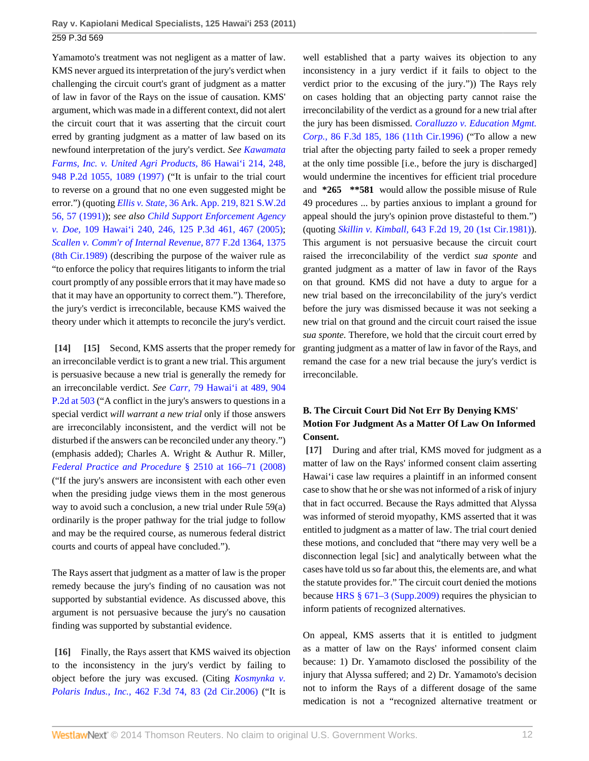Yamamoto's treatment was not negligent as a matter of law. KMS never argued its interpretation of the jury's verdict when challenging the circuit court's grant of judgment as a matter of law in favor of the Rays on the issue of causation. KMS' argument, which was made in a different context, did not alert the circuit court that it was asserting that the circuit court erred by granting judgment as a matter of law based on its newfound interpretation of the jury's verdict. *See [Kawamata](http://www.westlaw.com/Link/Document/FullText?findType=Y&serNum=1997244015&pubNum=661&fi=co_pp_sp_661_1089&originationContext=document&vr=3.0&rs=cblt1.0&transitionType=DocumentItem&contextData=(sc.Default)#co_pp_sp_661_1089) [Farms, Inc. v. United Agri Products,](http://www.westlaw.com/Link/Document/FullText?findType=Y&serNum=1997244015&pubNum=661&fi=co_pp_sp_661_1089&originationContext=document&vr=3.0&rs=cblt1.0&transitionType=DocumentItem&contextData=(sc.Default)#co_pp_sp_661_1089)* 86 Hawai'i 214, 248, [948 P.2d 1055, 1089 \(1997\)](http://www.westlaw.com/Link/Document/FullText?findType=Y&serNum=1997244015&pubNum=661&fi=co_pp_sp_661_1089&originationContext=document&vr=3.0&rs=cblt1.0&transitionType=DocumentItem&contextData=(sc.Default)#co_pp_sp_661_1089) ("It is unfair to the trial court to reverse on a ground that no one even suggested might be error.") (quoting *Ellis v. State,* [36 Ark. App. 219, 821 S.W.2d](http://www.westlaw.com/Link/Document/FullText?findType=Y&serNum=1992018610&pubNum=713&fi=co_pp_sp_713_57&originationContext=document&vr=3.0&rs=cblt1.0&transitionType=DocumentItem&contextData=(sc.Default)#co_pp_sp_713_57) [56, 57 \(1991\)](http://www.westlaw.com/Link/Document/FullText?findType=Y&serNum=1992018610&pubNum=713&fi=co_pp_sp_713_57&originationContext=document&vr=3.0&rs=cblt1.0&transitionType=DocumentItem&contextData=(sc.Default)#co_pp_sp_713_57)); *see also [Child Support Enforcement Agency](http://www.westlaw.com/Link/Document/FullText?findType=Y&serNum=2007959600&pubNum=4645&fi=co_pp_sp_4645_467&originationContext=document&vr=3.0&rs=cblt1.0&transitionType=DocumentItem&contextData=(sc.Default)#co_pp_sp_4645_467) v. Doe,* [109 Hawai'i 240, 246, 125 P.3d 461, 467 \(2005\)](http://www.westlaw.com/Link/Document/FullText?findType=Y&serNum=2007959600&pubNum=4645&fi=co_pp_sp_4645_467&originationContext=document&vr=3.0&rs=cblt1.0&transitionType=DocumentItem&contextData=(sc.Default)#co_pp_sp_4645_467); *[Scallen v. Comm'r of Internal Revenue,](http://www.westlaw.com/Link/Document/FullText?findType=Y&serNum=1989086127&pubNum=350&fi=co_pp_sp_350_1375&originationContext=document&vr=3.0&rs=cblt1.0&transitionType=DocumentItem&contextData=(sc.Default)#co_pp_sp_350_1375)* 877 F.2d 1364, 1375 [\(8th Cir.1989\)](http://www.westlaw.com/Link/Document/FullText?findType=Y&serNum=1989086127&pubNum=350&fi=co_pp_sp_350_1375&originationContext=document&vr=3.0&rs=cblt1.0&transitionType=DocumentItem&contextData=(sc.Default)#co_pp_sp_350_1375) (describing the purpose of the waiver rule as "to enforce the policy that requires litigants to inform the trial court promptly of any possible errors that it may have made so that it may have an opportunity to correct them."). Therefore, the jury's verdict is irreconcilable, because KMS waived the theory under which it attempts to reconcile the jury's verdict.

<span id="page-11-1"></span><span id="page-11-0"></span>**[\[14\]](#page-2-0) [\[15\]](#page-2-4)** Second, KMS asserts that the proper remedy for an irreconcilable verdict is to grant a new trial. This argument is persuasive because a new trial is generally the remedy for an irreconcilable verdict. *See Carr,* [79 Hawai'i at 489, 904](http://www.westlaw.com/Link/Document/FullText?findType=Y&serNum=1995199713&pubNum=661&fi=co_pp_sp_661_503&originationContext=document&vr=3.0&rs=cblt1.0&transitionType=DocumentItem&contextData=(sc.Default)#co_pp_sp_661_503) [P.2d at 503](http://www.westlaw.com/Link/Document/FullText?findType=Y&serNum=1995199713&pubNum=661&fi=co_pp_sp_661_503&originationContext=document&vr=3.0&rs=cblt1.0&transitionType=DocumentItem&contextData=(sc.Default)#co_pp_sp_661_503) ("A conflict in the jury's answers to questions in a special verdict *will warrant a new trial* only if those answers are irreconcilably inconsistent, and the verdict will not be disturbed if the answers can be reconciled under any theory.") (emphasis added); Charles A. Wright & Authur R. Miller, *[Federal Practice and Procedure](http://www.westlaw.com/Link/Document/FullText?findType=Y&serNum=0334966077&pubNum=0102228&originationContext=document&vr=3.0&rs=cblt1.0&transitionType=DocumentItem&contextData=(sc.Default))* § 2510 at 166–71 (2008) ("If the jury's answers are inconsistent with each other even when the presiding judge views them in the most generous way to avoid such a conclusion, a new trial under Rule 59(a) ordinarily is the proper pathway for the trial judge to follow and may be the required course, as numerous federal district courts and courts of appeal have concluded.").

The Rays assert that judgment as a matter of law is the proper remedy because the jury's finding of no causation was not supported by substantial evidence. As discussed above, this argument is not persuasive because the jury's no causation finding was supported by substantial evidence.

<span id="page-11-2"></span>**[\[16\]](#page-2-5)** Finally, the Rays assert that KMS waived its objection to the inconsistency in the jury's verdict by failing to object before the jury was excused. (Citing *[Kosmynka v.](http://www.westlaw.com/Link/Document/FullText?findType=Y&serNum=2010219835&pubNum=506&fi=co_pp_sp_506_83&originationContext=document&vr=3.0&rs=cblt1.0&transitionType=DocumentItem&contextData=(sc.Default)#co_pp_sp_506_83) Polaris Indus., Inc.,* [462 F.3d 74, 83 \(2d Cir.2006\)](http://www.westlaw.com/Link/Document/FullText?findType=Y&serNum=2010219835&pubNum=506&fi=co_pp_sp_506_83&originationContext=document&vr=3.0&rs=cblt1.0&transitionType=DocumentItem&contextData=(sc.Default)#co_pp_sp_506_83) ("It is

well established that a party waives its objection to any inconsistency in a jury verdict if it fails to object to the verdict prior to the excusing of the jury.")) The Rays rely on cases holding that an objecting party cannot raise the irreconcilability of the verdict as a ground for a new trial after the jury has been dismissed. *[Coralluzzo v. Education Mgmt.](http://www.westlaw.com/Link/Document/FullText?findType=Y&serNum=1996129584&pubNum=506&fi=co_pp_sp_506_186&originationContext=document&vr=3.0&rs=cblt1.0&transitionType=DocumentItem&contextData=(sc.Default)#co_pp_sp_506_186) Corp.,* [86 F.3d 185, 186 \(11th Cir.1996\)](http://www.westlaw.com/Link/Document/FullText?findType=Y&serNum=1996129584&pubNum=506&fi=co_pp_sp_506_186&originationContext=document&vr=3.0&rs=cblt1.0&transitionType=DocumentItem&contextData=(sc.Default)#co_pp_sp_506_186) ("To allow a new trial after the objecting party failed to seek a proper remedy at the only time possible [i.e., before the jury is discharged] would undermine the incentives for efficient trial procedure and **\*265 \*\*581** would allow the possible misuse of Rule 49 procedures ... by parties anxious to implant a ground for appeal should the jury's opinion prove distasteful to them.") (quoting *Skillin v. Kimball,* [643 F.2d 19, 20 \(1st Cir.1981\)](http://www.westlaw.com/Link/Document/FullText?findType=Y&serNum=1981110823&pubNum=350&fi=co_pp_sp_350_20&originationContext=document&vr=3.0&rs=cblt1.0&transitionType=DocumentItem&contextData=(sc.Default)#co_pp_sp_350_20)). This argument is not persuasive because the circuit court raised the irreconcilability of the verdict *sua sponte* and granted judgment as a matter of law in favor of the Rays on that ground. KMS did not have a duty to argue for a new trial based on the irreconcilability of the jury's verdict before the jury was dismissed because it was not seeking a new trial on that ground and the circuit court raised the issue *sua sponte.* Therefore, we hold that the circuit court erred by granting judgment as a matter of law in favor of the Rays, and remand the case for a new trial because the jury's verdict is irreconcilable.

# **B. The Circuit Court Did Not Err By Denying KMS' Motion For Judgment As a Matter Of Law On Informed Consent.**

<span id="page-11-3"></span>**[\[17\]](#page-2-1)** During and after trial, KMS moved for judgment as a matter of law on the Rays' informed consent claim asserting Hawai'i case law requires a plaintiff in an informed consent case to show that he or she was not informed of a risk of injury that in fact occurred. Because the Rays admitted that Alyssa was informed of steroid myopathy, KMS asserted that it was entitled to judgment as a matter of law. The trial court denied these motions, and concluded that "there may very well be a disconnection legal [sic] and analytically between what the cases have told us so far about this, the elements are, and what the statute provides for." The circuit court denied the motions because [HRS § 671–3 \(Supp.2009\)](http://www.westlaw.com/Link/Document/FullText?findType=L&pubNum=1000522&cite=HISTS671-3&originatingDoc=I50d2a3f3b47511e093b4f77be4dcecfa&refType=LQ&originationContext=document&vr=3.0&rs=cblt1.0&transitionType=DocumentItem&contextData=(sc.Default)) requires the physician to inform patients of recognized alternatives.

On appeal, KMS asserts that it is entitled to judgment as a matter of law on the Rays' informed consent claim because: 1) Dr. Yamamoto disclosed the possibility of the injury that Alyssa suffered; and 2) Dr. Yamamoto's decision not to inform the Rays of a different dosage of the same medication is not a "recognized alternative treatment or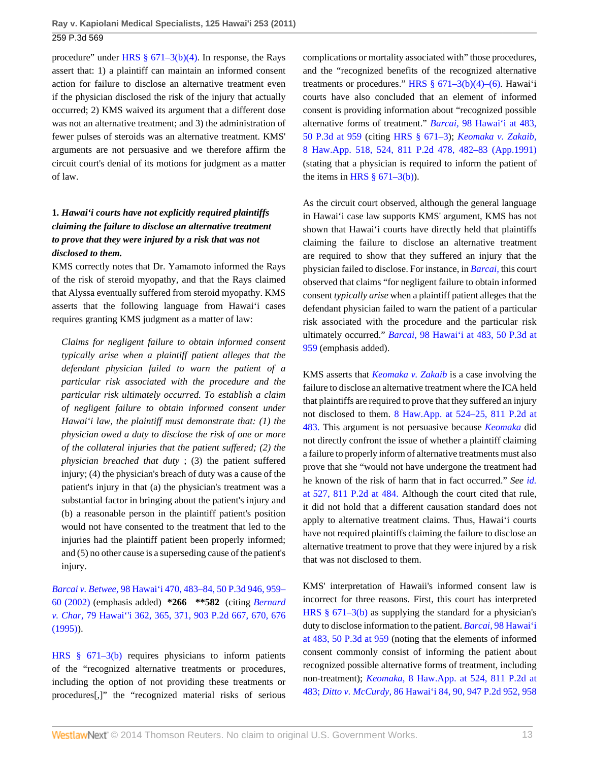procedure" under HRS  $\S$  671–3(b)(4). In response, the Rays assert that: 1) a plaintiff can maintain an informed consent action for failure to disclose an alternative treatment even if the physician disclosed the risk of the injury that actually occurred; 2) KMS waived its argument that a different dose was not an alternative treatment; and 3) the administration of fewer pulses of steroids was an alternative treatment. KMS' arguments are not persuasive and we therefore affirm the circuit court's denial of its motions for judgment as a matter of law.

# **1.** *Hawai'i courts have not explicitly required plaintiffs claiming the failure to disclose an alternative treatment to prove that they were injured by a risk that was not disclosed to them.*

KMS correctly notes that Dr. Yamamoto informed the Rays of the risk of steroid myopathy, and that the Rays claimed that Alyssa eventually suffered from steroid myopathy. KMS asserts that the following language from Hawai'i cases requires granting KMS judgment as a matter of law:

*Claims for negligent failure to obtain informed consent typically arise when a plaintiff patient alleges that the defendant physician failed to warn the patient of a particular risk associated with the procedure and the particular risk ultimately occurred. To establish a claim of negligent failure to obtain informed consent under Hawai'i law, the plaintiff must demonstrate that: (1) the physician owed a duty to disclose the risk of one or more of the collateral injuries that the patient suffered; (2) the physician breached that duty* ; (3) the patient suffered injury; (4) the physician's breach of duty was a cause of the patient's injury in that (a) the physician's treatment was a substantial factor in bringing about the patient's injury and (b) a reasonable person in the plaintiff patient's position would not have consented to the treatment that led to the injuries had the plaintiff patient been properly informed; and (5) no other cause is a superseding cause of the patient's injury.

*Barcai v. Betwee,* [98 Hawai'i 470, 483–84, 50 P.3d 946, 959–](http://www.westlaw.com/Link/Document/FullText?findType=Y&serNum=2002448914&pubNum=4645&fi=co_pp_sp_4645_959&originationContext=document&vr=3.0&rs=cblt1.0&transitionType=DocumentItem&contextData=(sc.Default)#co_pp_sp_4645_959) [60 \(2002\)](http://www.westlaw.com/Link/Document/FullText?findType=Y&serNum=2002448914&pubNum=4645&fi=co_pp_sp_4645_959&originationContext=document&vr=3.0&rs=cblt1.0&transitionType=DocumentItem&contextData=(sc.Default)#co_pp_sp_4645_959) (emphasis added) **\*266 \*\*582** (citing *[Bernard](http://www.westlaw.com/Link/Document/FullText?findType=Y&serNum=1995200682&pubNum=661&fi=co_pp_sp_661_670&originationContext=document&vr=3.0&rs=cblt1.0&transitionType=DocumentItem&contextData=(sc.Default)#co_pp_sp_661_670) v. Char,* [79 Hawai''i 362, 365, 371, 903 P.2d 667, 670, 676](http://www.westlaw.com/Link/Document/FullText?findType=Y&serNum=1995200682&pubNum=661&fi=co_pp_sp_661_670&originationContext=document&vr=3.0&rs=cblt1.0&transitionType=DocumentItem&contextData=(sc.Default)#co_pp_sp_661_670) [\(1995\)\)](http://www.westlaw.com/Link/Document/FullText?findType=Y&serNum=1995200682&pubNum=661&fi=co_pp_sp_661_670&originationContext=document&vr=3.0&rs=cblt1.0&transitionType=DocumentItem&contextData=(sc.Default)#co_pp_sp_661_670).

[HRS § 671–3\(b\)](http://www.westlaw.com/Link/Document/FullText?findType=L&pubNum=1000522&cite=HISTS671-3&originatingDoc=I50d2a3f3b47511e093b4f77be4dcecfa&refType=SP&originationContext=document&vr=3.0&rs=cblt1.0&transitionType=DocumentItem&contextData=(sc.Default)#co_pp_a83b000018c76) requires physicians to inform patients of the "recognized alternative treatments or procedures, including the option of not providing these treatments or procedures[,]" the "recognized material risks of serious

complications or mortality associated with" those procedures, and the "recognized benefits of the recognized alternative treatments or procedures." HRS  $\S$  671–3(b)(4)–(6). Hawai'i courts have also concluded that an element of informed consent is providing information about "recognized possible alternative forms of treatment." *Barcai,* [98 Hawai'i at 483,](http://www.westlaw.com/Link/Document/FullText?findType=Y&serNum=2002448914&pubNum=4645&fi=co_pp_sp_4645_959&originationContext=document&vr=3.0&rs=cblt1.0&transitionType=DocumentItem&contextData=(sc.Default)#co_pp_sp_4645_959) [50 P.3d at 959](http://www.westlaw.com/Link/Document/FullText?findType=Y&serNum=2002448914&pubNum=4645&fi=co_pp_sp_4645_959&originationContext=document&vr=3.0&rs=cblt1.0&transitionType=DocumentItem&contextData=(sc.Default)#co_pp_sp_4645_959) (citing [HRS § 671–3](http://www.westlaw.com/Link/Document/FullText?findType=L&pubNum=1000522&cite=HISTS671-3&originatingDoc=I50d2a3f3b47511e093b4f77be4dcecfa&refType=LQ&originationContext=document&vr=3.0&rs=cblt1.0&transitionType=DocumentItem&contextData=(sc.Default))); *[Keomaka v. Zakaib,](http://www.westlaw.com/Link/Document/FullText?findType=Y&serNum=1991094780&pubNum=661&fi=co_pp_sp_661_482&originationContext=document&vr=3.0&rs=cblt1.0&transitionType=DocumentItem&contextData=(sc.Default)#co_pp_sp_661_482)* [8 Haw.App. 518, 524, 811 P.2d 478, 482–83 \(App.1991\)](http://www.westlaw.com/Link/Document/FullText?findType=Y&serNum=1991094780&pubNum=661&fi=co_pp_sp_661_482&originationContext=document&vr=3.0&rs=cblt1.0&transitionType=DocumentItem&contextData=(sc.Default)#co_pp_sp_661_482) (stating that a physician is required to inform the patient of the items in HRS  $\S$  671–3(b)).

As the circuit court observed, although the general language in Hawai'i case law supports KMS' argument, KMS has not shown that Hawai'i courts have directly held that plaintiffs claiming the failure to disclose an alternative treatment are required to show that they suffered an injury that the physician failed to disclose. For instance, in *[Barcai,](http://www.westlaw.com/Link/Document/FullText?findType=Y&serNum=2002448914&originationContext=document&vr=3.0&rs=cblt1.0&transitionType=DocumentItem&contextData=(sc.Default))* this court observed that claims "for negligent failure to obtain informed consent *typically arise* when a plaintiff patient alleges that the defendant physician failed to warn the patient of a particular risk associated with the procedure and the particular risk ultimately occurred." *Barcai,* [98 Hawai'i at 483, 50 P.3d at](http://www.westlaw.com/Link/Document/FullText?findType=Y&serNum=2002448914&pubNum=4645&fi=co_pp_sp_4645_959&originationContext=document&vr=3.0&rs=cblt1.0&transitionType=DocumentItem&contextData=(sc.Default)#co_pp_sp_4645_959) [959](http://www.westlaw.com/Link/Document/FullText?findType=Y&serNum=2002448914&pubNum=4645&fi=co_pp_sp_4645_959&originationContext=document&vr=3.0&rs=cblt1.0&transitionType=DocumentItem&contextData=(sc.Default)#co_pp_sp_4645_959) (emphasis added).

KMS asserts that *[Keomaka v. Zakaib](http://www.westlaw.com/Link/Document/FullText?findType=Y&serNum=1991094780&originationContext=document&vr=3.0&rs=cblt1.0&transitionType=DocumentItem&contextData=(sc.Default))* is a case involving the failure to disclose an alternative treatment where the ICA held that plaintiffs are required to prove that they suffered an injury not disclosed to them. [8 Haw.App. at 524–25, 811 P.2d at](http://www.westlaw.com/Link/Document/FullText?findType=Y&serNum=1991094780&pubNum=661&fi=co_pp_sp_661_483&originationContext=document&vr=3.0&rs=cblt1.0&transitionType=DocumentItem&contextData=(sc.Default)#co_pp_sp_661_483) [483.](http://www.westlaw.com/Link/Document/FullText?findType=Y&serNum=1991094780&pubNum=661&fi=co_pp_sp_661_483&originationContext=document&vr=3.0&rs=cblt1.0&transitionType=DocumentItem&contextData=(sc.Default)#co_pp_sp_661_483) This argument is not persuasive because *[Keomaka](http://www.westlaw.com/Link/Document/FullText?findType=Y&serNum=1991094780&originationContext=document&vr=3.0&rs=cblt1.0&transitionType=DocumentItem&contextData=(sc.Default))* did not directly confront the issue of whether a plaintiff claiming a failure to properly inform of alternative treatments must also prove that she "would not have undergone the treatment had he known of the risk of harm that in fact occurred." *See [id.](http://www.westlaw.com/Link/Document/FullText?findType=Y&serNum=1991094780&pubNum=661&fi=co_pp_sp_661_484&originationContext=document&vr=3.0&rs=cblt1.0&transitionType=DocumentItem&contextData=(sc.Default)#co_pp_sp_661_484)* [at 527, 811 P.2d at 484.](http://www.westlaw.com/Link/Document/FullText?findType=Y&serNum=1991094780&pubNum=661&fi=co_pp_sp_661_484&originationContext=document&vr=3.0&rs=cblt1.0&transitionType=DocumentItem&contextData=(sc.Default)#co_pp_sp_661_484) Although the court cited that rule, it did not hold that a different causation standard does not apply to alternative treatment claims. Thus, Hawai'i courts have not required plaintiffs claiming the failure to disclose an alternative treatment to prove that they were injured by a risk that was not disclosed to them.

KMS' interpretation of Hawaii's informed consent law is incorrect for three reasons. First, this court has interpreted [HRS § 671–3\(b\)](http://www.westlaw.com/Link/Document/FullText?findType=L&pubNum=1000522&cite=HISTS671-3&originatingDoc=I50d2a3f3b47511e093b4f77be4dcecfa&refType=SP&originationContext=document&vr=3.0&rs=cblt1.0&transitionType=DocumentItem&contextData=(sc.Default)#co_pp_a83b000018c76) as supplying the standard for a physician's duty to disclose information to the patient. *Barcai,* [98 Hawai'i](http://www.westlaw.com/Link/Document/FullText?findType=Y&serNum=2002448914&pubNum=4645&fi=co_pp_sp_4645_959&originationContext=document&vr=3.0&rs=cblt1.0&transitionType=DocumentItem&contextData=(sc.Default)#co_pp_sp_4645_959) [at 483, 50 P.3d at 959](http://www.westlaw.com/Link/Document/FullText?findType=Y&serNum=2002448914&pubNum=4645&fi=co_pp_sp_4645_959&originationContext=document&vr=3.0&rs=cblt1.0&transitionType=DocumentItem&contextData=(sc.Default)#co_pp_sp_4645_959) (noting that the elements of informed consent commonly consist of informing the patient about recognized possible alternative forms of treatment, including non-treatment); *Keomaka,* [8 Haw.App. at 524, 811 P.2d at](http://www.westlaw.com/Link/Document/FullText?findType=Y&serNum=1991094780&pubNum=661&fi=co_pp_sp_661_483&originationContext=document&vr=3.0&rs=cblt1.0&transitionType=DocumentItem&contextData=(sc.Default)#co_pp_sp_661_483) [483;](http://www.westlaw.com/Link/Document/FullText?findType=Y&serNum=1991094780&pubNum=661&fi=co_pp_sp_661_483&originationContext=document&vr=3.0&rs=cblt1.0&transitionType=DocumentItem&contextData=(sc.Default)#co_pp_sp_661_483) *Ditto v. McCurdy,* [86 Hawai'i 84, 90, 947 P.2d 952, 958](http://www.westlaw.com/Link/Document/FullText?findType=Y&serNum=1997222369&pubNum=661&fi=co_pp_sp_661_958&originationContext=document&vr=3.0&rs=cblt1.0&transitionType=DocumentItem&contextData=(sc.Default)#co_pp_sp_661_958)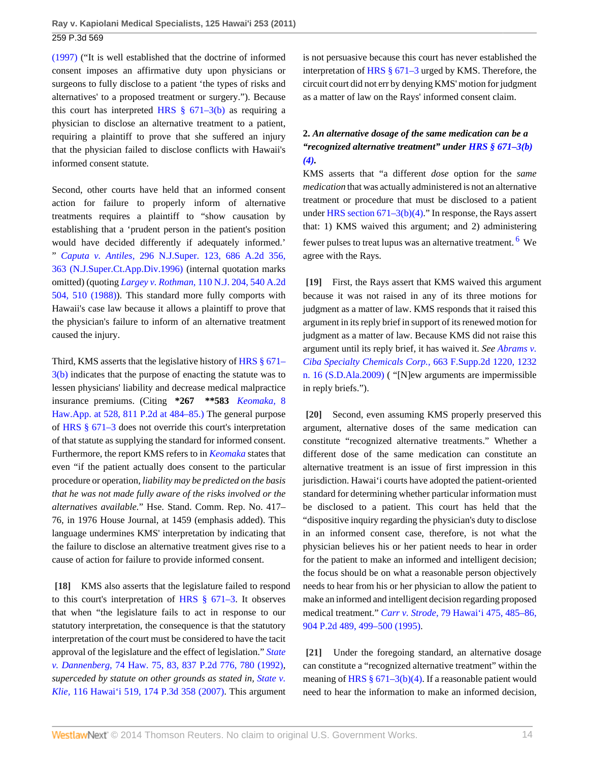[\(1997\)](http://www.westlaw.com/Link/Document/FullText?findType=Y&serNum=1997222369&pubNum=661&fi=co_pp_sp_661_958&originationContext=document&vr=3.0&rs=cblt1.0&transitionType=DocumentItem&contextData=(sc.Default)#co_pp_sp_661_958) ("It is well established that the doctrine of informed consent imposes an affirmative duty upon physicians or surgeons to fully disclose to a patient 'the types of risks and alternatives' to a proposed treatment or surgery."). Because this court has interpreted HRS  $\S$  671–3(b) as requiring a physician to disclose an alternative treatment to a patient, requiring a plaintiff to prove that she suffered an injury that the physician failed to disclose conflicts with Hawaii's informed consent statute.

Second, other courts have held that an informed consent action for failure to properly inform of alternative treatments requires a plaintiff to "show causation by establishing that a 'prudent person in the patient's position would have decided differently if adequately informed.' " *Caputa v. Antiles,* [296 N.J.Super. 123, 686 A.2d 356,](http://www.westlaw.com/Link/Document/FullText?findType=Y&serNum=1996280887&pubNum=162&fi=co_pp_sp_162_363&originationContext=document&vr=3.0&rs=cblt1.0&transitionType=DocumentItem&contextData=(sc.Default)#co_pp_sp_162_363) [363 \(N.J.Super.Ct.App.Div.1996\)](http://www.westlaw.com/Link/Document/FullText?findType=Y&serNum=1996280887&pubNum=162&fi=co_pp_sp_162_363&originationContext=document&vr=3.0&rs=cblt1.0&transitionType=DocumentItem&contextData=(sc.Default)#co_pp_sp_162_363) (internal quotation marks omitted) (quoting *Largey v. Rothman,* [110 N.J. 204, 540 A.2d](http://www.westlaw.com/Link/Document/FullText?findType=Y&serNum=1988058736&pubNum=162&fi=co_pp_sp_162_510&originationContext=document&vr=3.0&rs=cblt1.0&transitionType=DocumentItem&contextData=(sc.Default)#co_pp_sp_162_510) [504, 510 \(1988\)](http://www.westlaw.com/Link/Document/FullText?findType=Y&serNum=1988058736&pubNum=162&fi=co_pp_sp_162_510&originationContext=document&vr=3.0&rs=cblt1.0&transitionType=DocumentItem&contextData=(sc.Default)#co_pp_sp_162_510)). This standard more fully comports with Hawaii's case law because it allows a plaintiff to prove that the physician's failure to inform of an alternative treatment caused the injury.

Third, KMS asserts that the legislative history of [HRS § 671–](http://www.westlaw.com/Link/Document/FullText?findType=L&pubNum=1000522&cite=HISTS671-3&originatingDoc=I50d2a3f3b47511e093b4f77be4dcecfa&refType=SP&originationContext=document&vr=3.0&rs=cblt1.0&transitionType=DocumentItem&contextData=(sc.Default)#co_pp_a83b000018c76) [3\(b\)](http://www.westlaw.com/Link/Document/FullText?findType=L&pubNum=1000522&cite=HISTS671-3&originatingDoc=I50d2a3f3b47511e093b4f77be4dcecfa&refType=SP&originationContext=document&vr=3.0&rs=cblt1.0&transitionType=DocumentItem&contextData=(sc.Default)#co_pp_a83b000018c76) indicates that the purpose of enacting the statute was to lessen physicians' liability and decrease medical malpractice insurance premiums. (Citing **\*267 \*\*583** *[Keomaka,](http://www.westlaw.com/Link/Document/FullText?findType=Y&serNum=1991094780&pubNum=661&fi=co_pp_sp_661_484&originationContext=document&vr=3.0&rs=cblt1.0&transitionType=DocumentItem&contextData=(sc.Default)#co_pp_sp_661_484)* 8 [Haw.App. at 528, 811 P.2d at 484–85.\)](http://www.westlaw.com/Link/Document/FullText?findType=Y&serNum=1991094780&pubNum=661&fi=co_pp_sp_661_484&originationContext=document&vr=3.0&rs=cblt1.0&transitionType=DocumentItem&contextData=(sc.Default)#co_pp_sp_661_484) The general purpose of [HRS § 671–3](http://www.westlaw.com/Link/Document/FullText?findType=L&pubNum=1000522&cite=HISTS671-3&originatingDoc=I50d2a3f3b47511e093b4f77be4dcecfa&refType=LQ&originationContext=document&vr=3.0&rs=cblt1.0&transitionType=DocumentItem&contextData=(sc.Default)) does not override this court's interpretation of that statute as supplying the standard for informed consent. Furthermore, the report KMS refers to in *[Keomaka](http://www.westlaw.com/Link/Document/FullText?findType=Y&serNum=1991094780&originationContext=document&vr=3.0&rs=cblt1.0&transitionType=DocumentItem&contextData=(sc.Default))* states that even "if the patient actually does consent to the particular procedure or operation, *liability may be predicted on the basis that he was not made fully aware of the risks involved or the alternatives available.*" Hse. Stand. Comm. Rep. No. 417– 76, in 1976 House Journal, at 1459 (emphasis added). This language undermines KMS' interpretation by indicating that the failure to disclose an alternative treatment gives rise to a cause of action for failure to provide informed consent.

<span id="page-13-0"></span>**[\[18\]](#page-2-6)** KMS also asserts that the legislature failed to respond to this court's interpretation of [HRS § 671–3.](http://www.westlaw.com/Link/Document/FullText?findType=L&pubNum=1000522&cite=HISTS671-3&originatingDoc=I50d2a3f3b47511e093b4f77be4dcecfa&refType=LQ&originationContext=document&vr=3.0&rs=cblt1.0&transitionType=DocumentItem&contextData=(sc.Default)) It observes that when "the legislature fails to act in response to our statutory interpretation, the consequence is that the statutory interpretation of the court must be considered to have the tacit approval of the legislature and the effect of legislation." *[State](http://www.westlaw.com/Link/Document/FullText?findType=Y&serNum=1992173034&pubNum=661&fi=co_pp_sp_661_780&originationContext=document&vr=3.0&rs=cblt1.0&transitionType=DocumentItem&contextData=(sc.Default)#co_pp_sp_661_780) v. Dannenberg,* [74 Haw. 75, 83, 837 P.2d 776, 780 \(1992\)](http://www.westlaw.com/Link/Document/FullText?findType=Y&serNum=1992173034&pubNum=661&fi=co_pp_sp_661_780&originationContext=document&vr=3.0&rs=cblt1.0&transitionType=DocumentItem&contextData=(sc.Default)#co_pp_sp_661_780), *superceded by statute on other grounds as stated in, [State v.](http://www.westlaw.com/Link/Document/FullText?findType=Y&serNum=2014487023&pubNum=4645&originationContext=document&vr=3.0&rs=cblt1.0&transitionType=DocumentItem&contextData=(sc.Default)) Klie,* [116 Hawai'i 519, 174 P.3d 358 \(2007\)](http://www.westlaw.com/Link/Document/FullText?findType=Y&serNum=2014487023&pubNum=4645&originationContext=document&vr=3.0&rs=cblt1.0&transitionType=DocumentItem&contextData=(sc.Default)). This argument

is not persuasive because this court has never established the interpretation of [HRS § 671–3](http://www.westlaw.com/Link/Document/FullText?findType=L&pubNum=1000522&cite=HISTS671-3&originatingDoc=I50d2a3f3b47511e093b4f77be4dcecfa&refType=LQ&originationContext=document&vr=3.0&rs=cblt1.0&transitionType=DocumentItem&contextData=(sc.Default)) urged by KMS. Therefore, the circuit court did not err by denying KMS' motion for judgment as a matter of law on the Rays' informed consent claim.

# **2.** *An alternative dosage of the same medication can be a "recognized alternative treatment" under [HRS § 671–3\(b\)](http://www.westlaw.com/Link/Document/FullText?findType=L&pubNum=1000522&cite=HISTS671-3&originatingDoc=I50d2a3f3b47511e093b4f77be4dcecfa&refType=SP&originationContext=document&vr=3.0&rs=cblt1.0&transitionType=DocumentItem&contextData=(sc.Default)#co_pp_6ad60000aeea7) [\(4\).](http://www.westlaw.com/Link/Document/FullText?findType=L&pubNum=1000522&cite=HISTS671-3&originatingDoc=I50d2a3f3b47511e093b4f77be4dcecfa&refType=SP&originationContext=document&vr=3.0&rs=cblt1.0&transitionType=DocumentItem&contextData=(sc.Default)#co_pp_6ad60000aeea7)*

KMS asserts that "a different *dose* option for the *same medication* that was actually administered is not an alternative treatment or procedure that must be disclosed to a patient under [HRS section 671–3\(b\)\(4\)](http://www.westlaw.com/Link/Document/FullText?findType=L&pubNum=1000522&cite=HISTS671-3&originatingDoc=I50d2a3f3b47511e093b4f77be4dcecfa&refType=SP&originationContext=document&vr=3.0&rs=cblt1.0&transitionType=DocumentItem&contextData=(sc.Default)#co_pp_6ad60000aeea7)." In response, the Rays assert that: 1) KMS waived this argument; and 2) administering fewer pulses to treat lupus was an alternative treatment. <sup>[6](#page-15-7)</sup> We agree with the Rays.

<span id="page-13-4"></span><span id="page-13-1"></span>**[\[19\]](#page-3-3)** First, the Rays assert that KMS waived this argument because it was not raised in any of its three motions for judgment as a matter of law. KMS responds that it raised this argument in its reply brief in support of its renewed motion for judgment as a matter of law. Because KMS did not raise this argument until its reply brief, it has waived it. *See [Abrams v.](http://www.westlaw.com/Link/Document/FullText?findType=Y&serNum=2020085631&pubNum=4637&fi=co_pp_sp_4637_1232&originationContext=document&vr=3.0&rs=cblt1.0&transitionType=DocumentItem&contextData=(sc.Default)#co_pp_sp_4637_1232) [Ciba Specialty Chemicals Corp.,](http://www.westlaw.com/Link/Document/FullText?findType=Y&serNum=2020085631&pubNum=4637&fi=co_pp_sp_4637_1232&originationContext=document&vr=3.0&rs=cblt1.0&transitionType=DocumentItem&contextData=(sc.Default)#co_pp_sp_4637_1232)* 663 F.Supp.2d 1220, 1232 [n. 16 \(S.D.Ala.2009\)](http://www.westlaw.com/Link/Document/FullText?findType=Y&serNum=2020085631&pubNum=4637&fi=co_pp_sp_4637_1232&originationContext=document&vr=3.0&rs=cblt1.0&transitionType=DocumentItem&contextData=(sc.Default)#co_pp_sp_4637_1232) ( "[N]ew arguments are impermissible in reply briefs.").

<span id="page-13-2"></span>**[\[20\]](#page-3-0)** Second, even assuming KMS properly preserved this argument, alternative doses of the same medication can constitute "recognized alternative treatments." Whether a different dose of the same medication can constitute an alternative treatment is an issue of first impression in this jurisdiction. Hawai'i courts have adopted the patient-oriented standard for determining whether particular information must be disclosed to a patient. This court has held that the "dispositive inquiry regarding the physician's duty to disclose in an informed consent case, therefore, is not what the physician believes his or her patient needs to hear in order for the patient to make an informed and intelligent decision; the focus should be on what a reasonable person objectively needs to hear from his or her physician to allow the patient to make an informed and intelligent decision regarding proposed medical treatment." *Carr v. Strode,* [79 Hawai'i 475, 485–86,](http://www.westlaw.com/Link/Document/FullText?findType=Y&serNum=1995199713&pubNum=661&fi=co_pp_sp_661_499&originationContext=document&vr=3.0&rs=cblt1.0&transitionType=DocumentItem&contextData=(sc.Default)#co_pp_sp_661_499) [904 P.2d 489, 499–500 \(1995\)](http://www.westlaw.com/Link/Document/FullText?findType=Y&serNum=1995199713&pubNum=661&fi=co_pp_sp_661_499&originationContext=document&vr=3.0&rs=cblt1.0&transitionType=DocumentItem&contextData=(sc.Default)#co_pp_sp_661_499).

<span id="page-13-3"></span>**[\[21\]](#page-3-4)** Under the foregoing standard, an alternative dosage can constitute a "recognized alternative treatment" within the meaning of HRS  $\S 671-3(b)(4)$ . If a reasonable patient would need to hear the information to make an informed decision,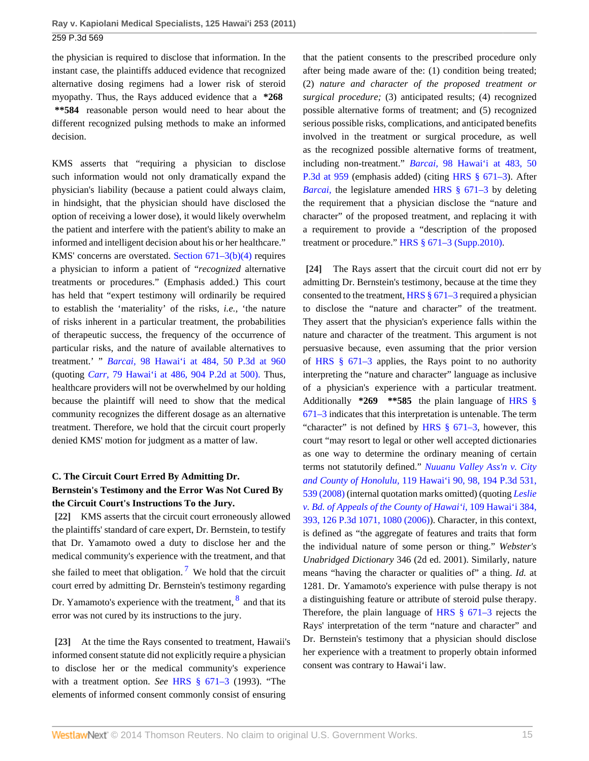the physician is required to disclose that information. In the instant case, the plaintiffs adduced evidence that recognized alternative dosing regimens had a lower risk of steroid myopathy. Thus, the Rays adduced evidence that a **\*268 \*\*584** reasonable person would need to hear about the different recognized pulsing methods to make an informed decision.

KMS asserts that "requiring a physician to disclose such information would not only dramatically expand the physician's liability (because a patient could always claim, in hindsight, that the physician should have disclosed the option of receiving a lower dose), it would likely overwhelm the patient and interfere with the patient's ability to make an informed and intelligent decision about his or her healthcare." KMS' concerns are overstated. [Section 671–3\(b\)\(4\)](http://www.westlaw.com/Link/Document/FullText?findType=L&pubNum=1000522&cite=HISTS671-3&originatingDoc=I50d2a3f3b47511e093b4f77be4dcecfa&refType=SP&originationContext=document&vr=3.0&rs=cblt1.0&transitionType=DocumentItem&contextData=(sc.Default)#co_pp_6ad60000aeea7) requires a physician to inform a patient of "*recognized* alternative treatments or procedures." (Emphasis added.) This court has held that "expert testimony will ordinarily be required to establish the 'materiality' of the risks, *i.e.,* 'the nature of risks inherent in a particular treatment, the probabilities of therapeutic success, the frequency of the occurrence of particular risks, and the nature of available alternatives to treatment.' " *Barcai,* [98 Hawai'i at 484, 50 P.3d at 960](http://www.westlaw.com/Link/Document/FullText?findType=Y&serNum=2002448914&pubNum=4645&fi=co_pp_sp_4645_960&originationContext=document&vr=3.0&rs=cblt1.0&transitionType=DocumentItem&contextData=(sc.Default)#co_pp_sp_4645_960) (quoting *Carr,* [79 Hawai'i at 486, 904 P.2d at 500\).](http://www.westlaw.com/Link/Document/FullText?findType=Y&serNum=1995199713&pubNum=661&fi=co_pp_sp_661_500&originationContext=document&vr=3.0&rs=cblt1.0&transitionType=DocumentItem&contextData=(sc.Default)#co_pp_sp_661_500) Thus, healthcare providers will not be overwhelmed by our holding because the plaintiff will need to show that the medical community recognizes the different dosage as an alternative treatment. Therefore, we hold that the circuit court properly denied KMS' motion for judgment as a matter of law.

# **C. The Circuit Court Erred By Admitting Dr. Bernstein's Testimony and the Error Was Not Cured By the Circuit Court's Instructions To the Jury.**

<span id="page-14-3"></span><span id="page-14-0"></span>**[\[22\]](#page-3-1)** KMS asserts that the circuit court erroneously allowed the plaintiffs' standard of care expert, Dr. Bernstein, to testify that Dr. Yamamoto owed a duty to disclose her and the medical community's experience with the treatment, and that she failed to meet that obligation.<sup>[7](#page-16-0)</sup> We hold that the circuit court erred by admitting Dr. Bernstein's testimony regarding Dr. Yamamoto's experience with the treatment,  $\frac{8}{3}$  $\frac{8}{3}$  $\frac{8}{3}$  and that its error was not cured by its instructions to the jury.

<span id="page-14-4"></span><span id="page-14-1"></span>**[\[23\]](#page-3-5)** At the time the Rays consented to treatment, Hawaii's informed consent statute did not explicitly require a physician to disclose her or the medical community's experience with a treatment option. *See* [HRS § 671–3](http://www.westlaw.com/Link/Document/FullText?findType=L&pubNum=1000522&cite=HISTS671-3&originatingDoc=I50d2a3f3b47511e093b4f77be4dcecfa&refType=LQ&originationContext=document&vr=3.0&rs=cblt1.0&transitionType=DocumentItem&contextData=(sc.Default)) (1993). "The elements of informed consent commonly consist of ensuring

that the patient consents to the prescribed procedure only after being made aware of the: (1) condition being treated; (2) *nature and character of the proposed treatment or surgical procedure;* (3) anticipated results; (4) recognized possible alternative forms of treatment; and (5) recognized serious possible risks, complications, and anticipated benefits involved in the treatment or surgical procedure, as well as the recognized possible alternative forms of treatment, including non-treatment." *Barcai,* [98 Hawai'i at 483, 50](http://www.westlaw.com/Link/Document/FullText?findType=Y&serNum=2002448914&pubNum=4645&fi=co_pp_sp_4645_959&originationContext=document&vr=3.0&rs=cblt1.0&transitionType=DocumentItem&contextData=(sc.Default)#co_pp_sp_4645_959) [P.3d at 959](http://www.westlaw.com/Link/Document/FullText?findType=Y&serNum=2002448914&pubNum=4645&fi=co_pp_sp_4645_959&originationContext=document&vr=3.0&rs=cblt1.0&transitionType=DocumentItem&contextData=(sc.Default)#co_pp_sp_4645_959) (emphasis added) (citing [HRS § 671–3](http://www.westlaw.com/Link/Document/FullText?findType=L&pubNum=1000522&cite=HISTS671-3&originatingDoc=I50d2a3f3b47511e093b4f77be4dcecfa&refType=LQ&originationContext=document&vr=3.0&rs=cblt1.0&transitionType=DocumentItem&contextData=(sc.Default))). After *Barcai*, the legislature amended [HRS § 671–3](http://www.westlaw.com/Link/Document/FullText?findType=L&pubNum=1000522&cite=HISTS671-3&originatingDoc=I50d2a3f3b47511e093b4f77be4dcecfa&refType=LQ&originationContext=document&vr=3.0&rs=cblt1.0&transitionType=DocumentItem&contextData=(sc.Default)) by deleting the requirement that a physician disclose the "nature and character" of the proposed treatment, and replacing it with a requirement to provide a "description of the proposed treatment or procedure." HRS § 671-3 (Supp.2010).

<span id="page-14-2"></span>**[\[24\]](#page-3-6)** The Rays assert that the circuit court did not err by admitting Dr. Bernstein's testimony, because at the time they consented to the treatment, [HRS § 671–3](http://www.westlaw.com/Link/Document/FullText?findType=L&pubNum=1000522&cite=HISTS671-3&originatingDoc=I50d2a3f3b47511e093b4f77be4dcecfa&refType=LQ&originationContext=document&vr=3.0&rs=cblt1.0&transitionType=DocumentItem&contextData=(sc.Default)) required a physician to disclose the "nature and character" of the treatment. They assert that the physician's experience falls within the nature and character of the treatment. This argument is not persuasive because, even assuming that the prior version of [HRS § 671–3](http://www.westlaw.com/Link/Document/FullText?findType=L&pubNum=1000522&cite=HISTS671-3&originatingDoc=I50d2a3f3b47511e093b4f77be4dcecfa&refType=LQ&originationContext=document&vr=3.0&rs=cblt1.0&transitionType=DocumentItem&contextData=(sc.Default)) applies, the Rays point to no authority interpreting the "nature and character" language as inclusive of a physician's experience with a particular treatment. Additionally **\*269 \*\*585** the plain language of [HRS §](http://www.westlaw.com/Link/Document/FullText?findType=L&pubNum=1000522&cite=HISTS671-3&originatingDoc=I50d2a3f3b47511e093b4f77be4dcecfa&refType=LQ&originationContext=document&vr=3.0&rs=cblt1.0&transitionType=DocumentItem&contextData=(sc.Default)) [671–3](http://www.westlaw.com/Link/Document/FullText?findType=L&pubNum=1000522&cite=HISTS671-3&originatingDoc=I50d2a3f3b47511e093b4f77be4dcecfa&refType=LQ&originationContext=document&vr=3.0&rs=cblt1.0&transitionType=DocumentItem&contextData=(sc.Default)) indicates that this interpretation is untenable. The term "character" is not defined by HRS  $\S$  671–3, however, this court "may resort to legal or other well accepted dictionaries as one way to determine the ordinary meaning of certain terms not statutorily defined." *[Nuuanu Valley Ass'n v. City](http://www.westlaw.com/Link/Document/FullText?findType=Y&serNum=2017354052&pubNum=4645&fi=co_pp_sp_4645_539&originationContext=document&vr=3.0&rs=cblt1.0&transitionType=DocumentItem&contextData=(sc.Default)#co_pp_sp_4645_539) and County of Honolulu,* [119 Hawai'i 90, 98, 194 P.3d 531,](http://www.westlaw.com/Link/Document/FullText?findType=Y&serNum=2017354052&pubNum=4645&fi=co_pp_sp_4645_539&originationContext=document&vr=3.0&rs=cblt1.0&transitionType=DocumentItem&contextData=(sc.Default)#co_pp_sp_4645_539) [539 \(2008\)](http://www.westlaw.com/Link/Document/FullText?findType=Y&serNum=2017354052&pubNum=4645&fi=co_pp_sp_4645_539&originationContext=document&vr=3.0&rs=cblt1.0&transitionType=DocumentItem&contextData=(sc.Default)#co_pp_sp_4645_539) (internal quotation marks omitted) (quoting *[Leslie](http://www.westlaw.com/Link/Document/FullText?findType=Y&serNum=2008260623&pubNum=4645&fi=co_pp_sp_4645_1080&originationContext=document&vr=3.0&rs=cblt1.0&transitionType=DocumentItem&contextData=(sc.Default)#co_pp_sp_4645_1080) [v. Bd. of Appeals of the County of Hawai'i,](http://www.westlaw.com/Link/Document/FullText?findType=Y&serNum=2008260623&pubNum=4645&fi=co_pp_sp_4645_1080&originationContext=document&vr=3.0&rs=cblt1.0&transitionType=DocumentItem&contextData=(sc.Default)#co_pp_sp_4645_1080)* 109 Hawai'i 384, [393, 126 P.3d 1071, 1080 \(2006\)\)](http://www.westlaw.com/Link/Document/FullText?findType=Y&serNum=2008260623&pubNum=4645&fi=co_pp_sp_4645_1080&originationContext=document&vr=3.0&rs=cblt1.0&transitionType=DocumentItem&contextData=(sc.Default)#co_pp_sp_4645_1080). Character, in this context, is defined as "the aggregate of features and traits that form the individual nature of some person or thing." *Webster's Unabridged Dictionary* 346 (2d ed. 2001). Similarly, nature means "having the character or qualities of" a thing. *Id.* at 1281. Dr. Yamamoto's experience with pulse therapy is not a distinguishing feature or attribute of steroid pulse therapy. Therefore, the plain language of [HRS § 671–3](http://www.westlaw.com/Link/Document/FullText?findType=L&pubNum=1000522&cite=HISTS671-3&originatingDoc=I50d2a3f3b47511e093b4f77be4dcecfa&refType=LQ&originationContext=document&vr=3.0&rs=cblt1.0&transitionType=DocumentItem&contextData=(sc.Default)) rejects the Rays' interpretation of the term "nature and character" and Dr. Bernstein's testimony that a physician should disclose her experience with a treatment to properly obtain informed consent was contrary to Hawai'i law.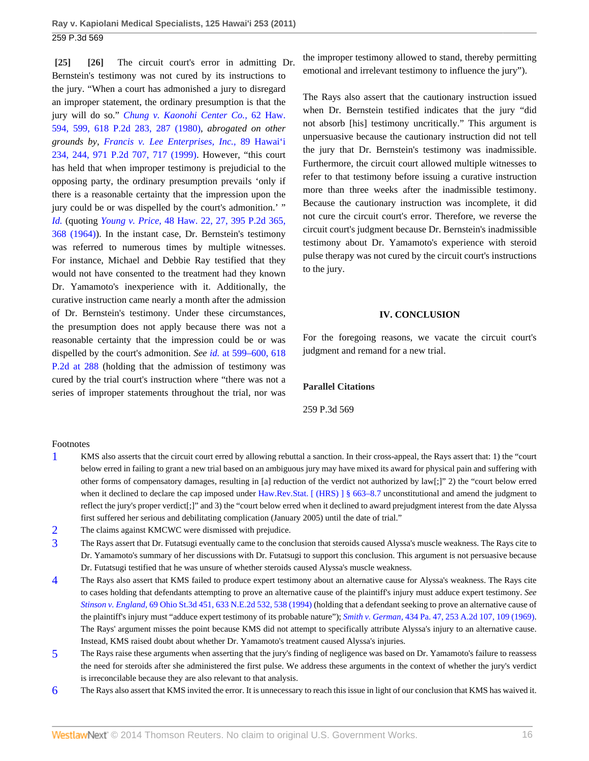<span id="page-15-1"></span><span id="page-15-0"></span>**[\[25\]](#page-3-2) [\[26\]](#page-4-0)** The circuit court's error in admitting Dr. Bernstein's testimony was not cured by its instructions to the jury. "When a court has admonished a jury to disregard an improper statement, the ordinary presumption is that the jury will do so." *[Chung v. Kaonohi Center Co.,](http://www.westlaw.com/Link/Document/FullText?findType=Y&serNum=1980142554&pubNum=661&fi=co_pp_sp_661_287&originationContext=document&vr=3.0&rs=cblt1.0&transitionType=DocumentItem&contextData=(sc.Default)#co_pp_sp_661_287)* 62 Haw. [594, 599, 618 P.2d 283, 287 \(1980\),](http://www.westlaw.com/Link/Document/FullText?findType=Y&serNum=1980142554&pubNum=661&fi=co_pp_sp_661_287&originationContext=document&vr=3.0&rs=cblt1.0&transitionType=DocumentItem&contextData=(sc.Default)#co_pp_sp_661_287) *abrogated on other grounds by, [Francis v. Lee Enterprises, Inc.,](http://www.westlaw.com/Link/Document/FullText?findType=Y&serNum=1999035860&pubNum=661&fi=co_pp_sp_661_717&originationContext=document&vr=3.0&rs=cblt1.0&transitionType=DocumentItem&contextData=(sc.Default)#co_pp_sp_661_717)* 89 Hawai'i [234, 244, 971 P.2d 707, 717 \(1999\)](http://www.westlaw.com/Link/Document/FullText?findType=Y&serNum=1999035860&pubNum=661&fi=co_pp_sp_661_717&originationContext=document&vr=3.0&rs=cblt1.0&transitionType=DocumentItem&contextData=(sc.Default)#co_pp_sp_661_717). However, "this court has held that when improper testimony is prejudicial to the opposing party, the ordinary presumption prevails 'only if there is a reasonable certainty that the impression upon the jury could be or was dispelled by the court's admonition.' " *[Id.](http://www.westlaw.com/Link/Document/FullText?findType=Y&serNum=1980142554&originationContext=document&vr=3.0&rs=cblt1.0&transitionType=DocumentItem&contextData=(sc.Default))* (quoting *Young v. Price,* [48 Haw. 22, 27, 395 P.2d 365,](http://www.westlaw.com/Link/Document/FullText?findType=Y&serNum=1964124120&pubNum=661&fi=co_pp_sp_661_368&originationContext=document&vr=3.0&rs=cblt1.0&transitionType=DocumentItem&contextData=(sc.Default)#co_pp_sp_661_368) [368 \(1964\)\)](http://www.westlaw.com/Link/Document/FullText?findType=Y&serNum=1964124120&pubNum=661&fi=co_pp_sp_661_368&originationContext=document&vr=3.0&rs=cblt1.0&transitionType=DocumentItem&contextData=(sc.Default)#co_pp_sp_661_368). In the instant case, Dr. Bernstein's testimony was referred to numerous times by multiple witnesses. For instance, Michael and Debbie Ray testified that they would not have consented to the treatment had they known Dr. Yamamoto's inexperience with it. Additionally, the curative instruction came nearly a month after the admission of Dr. Bernstein's testimony. Under these circumstances, the presumption does not apply because there was not a reasonable certainty that the impression could be or was dispelled by the court's admonition. *See id.* [at 599–600, 618](http://www.westlaw.com/Link/Document/FullText?findType=Y&serNum=1980142554&pubNum=661&fi=co_pp_sp_661_288&originationContext=document&vr=3.0&rs=cblt1.0&transitionType=DocumentItem&contextData=(sc.Default)#co_pp_sp_661_288) [P.2d at 288](http://www.westlaw.com/Link/Document/FullText?findType=Y&serNum=1980142554&pubNum=661&fi=co_pp_sp_661_288&originationContext=document&vr=3.0&rs=cblt1.0&transitionType=DocumentItem&contextData=(sc.Default)#co_pp_sp_661_288) (holding that the admission of testimony was cured by the trial court's instruction where "there was not a series of improper statements throughout the trial, nor was

the improper testimony allowed to stand, thereby permitting emotional and irrelevant testimony to influence the jury").

The Rays also assert that the cautionary instruction issued when Dr. Bernstein testified indicates that the jury "did not absorb [his] testimony uncritically." This argument is unpersuasive because the cautionary instruction did not tell the jury that Dr. Bernstein's testimony was inadmissible. Furthermore, the circuit court allowed multiple witnesses to refer to that testimony before issuing a curative instruction more than three weeks after the inadmissible testimony. Because the cautionary instruction was incomplete, it did not cure the circuit court's error. Therefore, we reverse the circuit court's judgment because Dr. Bernstein's inadmissible testimony about Dr. Yamamoto's experience with steroid pulse therapy was not cured by the circuit court's instructions to the jury.

#### **IV. CONCLUSION**

For the foregoing reasons, we vacate the circuit court's judgment and remand for a new trial.

#### **Parallel Citations**

259 P.3d 569

#### Footnotes

- <span id="page-15-2"></span>[1](#page-4-1) KMS also asserts that the circuit court erred by allowing rebuttal a sanction. In their cross-appeal, the Rays assert that: 1) the "court below erred in failing to grant a new trial based on an ambiguous jury may have mixed its award for physical pain and suffering with other forms of compensatory damages, resulting in [a] reduction of the verdict not authorized by law[;]" 2) the "court below erred when it declined to declare the cap imposed under [Haw.Rev.Stat. \[ \(HRS\) \] § 663–8.7](http://www.westlaw.com/Link/Document/FullText?findType=L&pubNum=1000522&cite=HISTS663-8.7&originatingDoc=I50d2a3f3b47511e093b4f77be4dcecfa&refType=LQ&originationContext=document&vr=3.0&rs=cblt1.0&transitionType=DocumentItem&contextData=(sc.Default)) unconstitutional and amend the judgment to reflect the jury's proper verdict[;]" and 3) the "court below erred when it declined to award prejudgment interest from the date Alyssa first suffered her serious and debilitating complication (January 2005) until the date of trial."
- <span id="page-15-3"></span>[2](#page-5-0) The claims against KMCWC were dismissed with prejudice.
- <span id="page-15-4"></span>[3](#page-9-4) The Rays assert that Dr. Futatsugi eventually came to the conclusion that steroids caused Alyssa's muscle weakness. The Rays cite to Dr. Yamamoto's summary of her discussions with Dr. Futatsugi to support this conclusion. This argument is not persuasive because Dr. Futatsugi testified that he was unsure of whether steroids caused Alyssa's muscle weakness.
- <span id="page-15-5"></span>[4](#page-10-6) The Rays also assert that KMS failed to produce expert testimony about an alternative cause for Alyssa's weakness. The Rays cite to cases holding that defendants attempting to prove an alternative cause of the plaintiff's injury must adduce expert testimony. *See Stinson v. England,* [69 Ohio St.3d 451, 633 N.E.2d 532, 538 \(1994\)](http://www.westlaw.com/Link/Document/FullText?findType=Y&serNum=1994110390&pubNum=578&fi=co_pp_sp_578_538&originationContext=document&vr=3.0&rs=cblt1.0&transitionType=DocumentItem&contextData=(sc.Default)#co_pp_sp_578_538) (holding that a defendant seeking to prove an alternative cause of the plaintiff's injury must "adduce expert testimony of its probable nature"); *Smith v. German,* [434 Pa. 47, 253 A.2d 107, 109 \(1969\).](http://www.westlaw.com/Link/Document/FullText?findType=Y&serNum=1969109820&pubNum=162&fi=co_pp_sp_162_109&originationContext=document&vr=3.0&rs=cblt1.0&transitionType=DocumentItem&contextData=(sc.Default)#co_pp_sp_162_109) The Rays' argument misses the point because KMS did not attempt to specifically attribute Alyssa's injury to an alternative cause. Instead, KMS raised doubt about whether Dr. Yamamoto's treatment caused Alyssa's injuries.
- <span id="page-15-6"></span>[5](#page-10-7) The Rays raise these arguments when asserting that the jury's finding of negligence was based on Dr. Yamamoto's failure to reassess the need for steroids after she administered the first pulse. We address these arguments in the context of whether the jury's verdict is irreconcilable because they are also relevant to that analysis.
- <span id="page-15-7"></span>[6](#page-13-4) The Rays also assert that KMS invited the error. It is unnecessary to reach this issue in light of our conclusion that KMS has waived it.